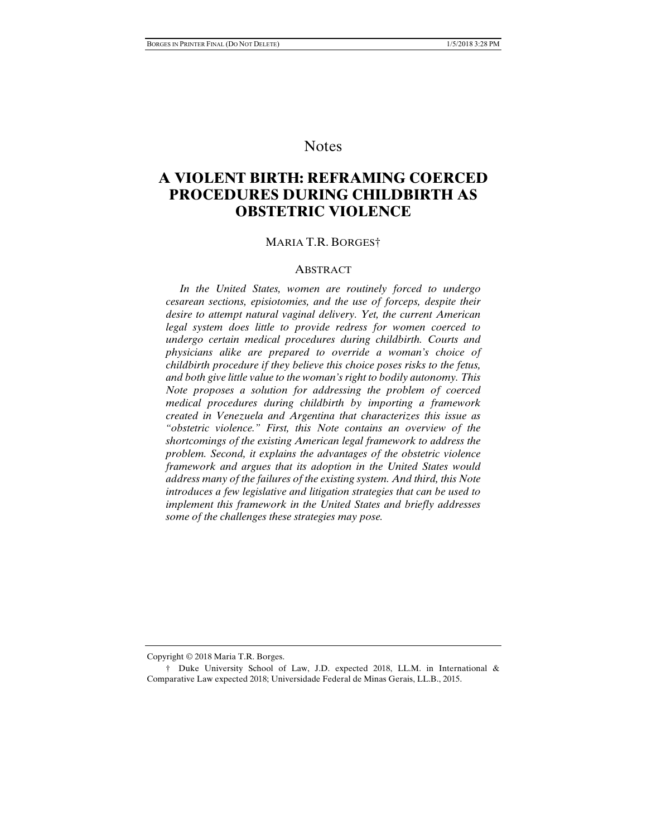## Notes

# **A VIOLENT BIRTH: REFRAMING COERCED PROCEDURES DURING CHILDBIRTH AS OBSTETRIC VIOLENCE**

#### MARIA T.R. BORGES†

#### **ABSTRACT**

 *In the United States, women are routinely forced to undergo cesarean sections, episiotomies, and the use of forceps, despite their desire to attempt natural vaginal delivery. Yet, the current American legal system does little to provide redress for women coerced to undergo certain medical procedures during childbirth. Courts and physicians alike are prepared to override a woman's choice of childbirth procedure if they believe this choice poses risks to the fetus, and both give little value to the woman's right to bodily autonomy. This Note proposes a solution for addressing the problem of coerced medical procedures during childbirth by importing a framework created in Venezuela and Argentina that characterizes this issue as "obstetric violence." First, this Note contains an overview of the shortcomings of the existing American legal framework to address the problem. Second, it explains the advantages of the obstetric violence framework and argues that its adoption in the United States would address many of the failures of the existing system. And third, this Note introduces a few legislative and litigation strategies that can be used to implement this framework in the United States and briefly addresses some of the challenges these strategies may pose.* 

Copyright © 2018 Maria T.R. Borges.

 <sup>†</sup> Duke University School of Law, J.D. expected 2018, LL.M. in International & Comparative Law expected 2018; Universidade Federal de Minas Gerais, LL.B., 2015.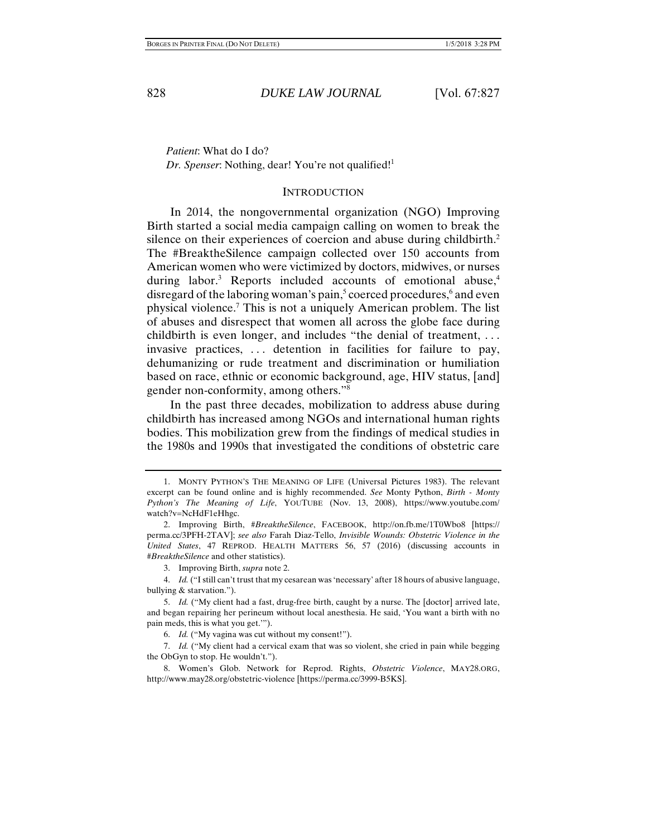*Patient*: What do I do? *Dr. Spenser*: Nothing, dear! You're not qualified!<sup>1</sup>

#### **INTRODUCTION**

In 2014, the nongovernmental organization (NGO) Improving Birth started a social media campaign calling on women to break the silence on their experiences of coercion and abuse during childbirth.<sup>2</sup> The #BreaktheSilence campaign collected over 150 accounts from American women who were victimized by doctors, midwives, or nurses during labor.<sup>3</sup> Reports included accounts of emotional abuse,<sup>4</sup> disregard of the laboring woman's pain,<sup>5</sup> coerced procedures,<sup>6</sup> and even physical violence.7 This is not a uniquely American problem. The list of abuses and disrespect that women all across the globe face during childbirth is even longer, and includes "the denial of treatment, ... invasive practices, . . . detention in facilities for failure to pay, dehumanizing or rude treatment and discrimination or humiliation based on race, ethnic or economic background, age, HIV status, [and] gender non-conformity, among others."8

In the past three decades, mobilization to address abuse during childbirth has increased among NGOs and international human rights bodies. This mobilization grew from the findings of medical studies in the 1980s and 1990s that investigated the conditions of obstetric care

 7. *Id.* ("My client had a cervical exam that was so violent, she cried in pain while begging the ObGyn to stop. He wouldn't.").

 <sup>1.</sup> MONTY PYTHON'S THE MEANING OF LIFE (Universal Pictures 1983). The relevant excerpt can be found online and is highly recommended. *See* Monty Python, *Birth - Monty Python's The Meaning of Life*, YOUTUBE (Nov. 13, 2008), https://www.youtube.com/ watch?v=NcHdF1eHhgc.

 <sup>2.</sup> Improving Birth, *#BreaktheSilence*, FACEBOOK, http://on.fb.me/1T0Wbo8 [https:// perma.cc/3PFH-2TAV]; *see also* Farah Diaz-Tello, *Invisible Wounds: Obstetric Violence in the United States*, 47 REPROD. HEALTH MATTERS 56, 57 (2016) (discussing accounts in *#BreaktheSilence* and other statistics).

 <sup>3.</sup> Improving Birth, *supra* note 2.

 <sup>4.</sup> *Id.* ("I still can't trust that my cesarean was 'necessary' after 18 hours of abusive language, bullying & starvation.").

 <sup>5.</sup> *Id.* ("My client had a fast, drug-free birth, caught by a nurse. The [doctor] arrived late, and began repairing her perineum without local anesthesia. He said, 'You want a birth with no pain meds, this is what you get.'").

 <sup>6.</sup> *Id.* ("My vagina was cut without my consent!").

 <sup>8.</sup> Women's Glob. Network for Reprod. Rights, *Obstetric Violence*, MAY28.ORG, http://www.may28.org/obstetric-violence [https://perma.cc/3999-B5KS].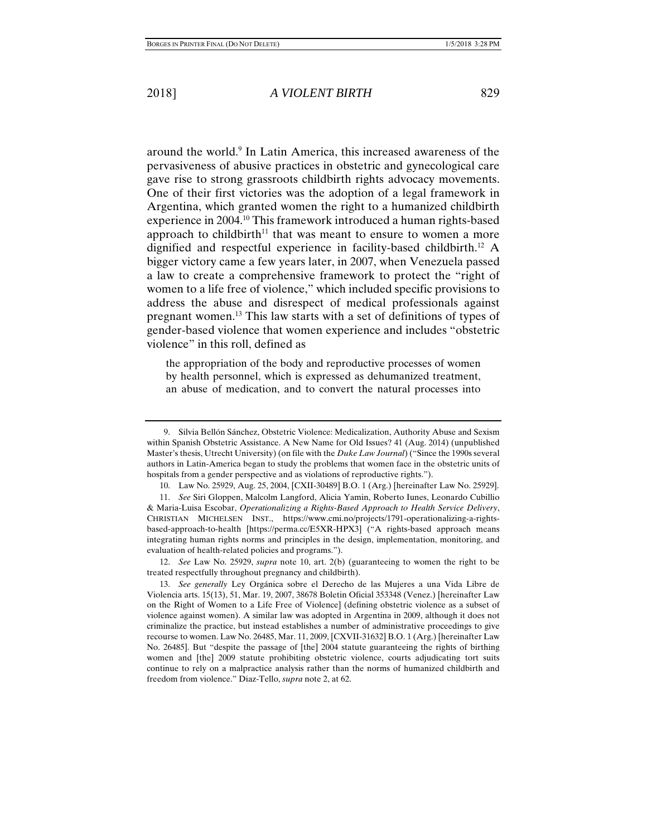around the world.<sup>9</sup> In Latin America, this increased awareness of the pervasiveness of abusive practices in obstetric and gynecological care gave rise to strong grassroots childbirth rights advocacy movements. One of their first victories was the adoption of a legal framework in Argentina, which granted women the right to a humanized childbirth experience in 2004.10 This framework introduced a human rights-based approach to childbirth<sup>11</sup> that was meant to ensure to women a more dignified and respectful experience in facility-based childbirth.12 A bigger victory came a few years later, in 2007, when Venezuela passed a law to create a comprehensive framework to protect the "right of women to a life free of violence," which included specific provisions to address the abuse and disrespect of medical professionals against pregnant women.13 This law starts with a set of definitions of types of gender-based violence that women experience and includes "obstetric violence" in this roll, defined as

the appropriation of the body and reproductive processes of women by health personnel, which is expressed as dehumanized treatment, an abuse of medication, and to convert the natural processes into

 12. *See* Law No. 25929, *supra* note 10, art. 2(b) (guaranteeing to women the right to be treated respectfully throughout pregnancy and childbirth).

 <sup>9.</sup> Silvia Bellón Sánchez, Obstetric Violence: Medicalization, Authority Abuse and Sexism within Spanish Obstetric Assistance. A New Name for Old Issues? 41 (Aug. 2014) (unpublished Master's thesis, Utrecht University) (on file with the *Duke Law Journal*) ("Since the 1990s several authors in Latin-America began to study the problems that women face in the obstetric units of hospitals from a gender perspective and as violations of reproductive rights.").

 <sup>10.</sup> Law No. 25929, Aug. 25, 2004, [CXII-30489] B.O. 1 (Arg.) [hereinafter Law No. 25929].

 <sup>11.</sup> *See* Siri Gloppen, Malcolm Langford, Alicia Yamin, Roberto Iunes, Leonardo Cubillio & Maria-Luisa Escobar, *Operationalizing a Rights-Based Approach to Health Service Delivery*, CHRISTIAN MICHELSEN INST., https://www.cmi.no/projects/1791-operationalizing-a-rightsbased-approach-to-health [https://perma.cc/E5XR-HPX3] ("A rights-based approach means integrating human rights norms and principles in the design, implementation, monitoring, and evaluation of health-related policies and programs.").

 <sup>13.</sup> *See generally* Ley Orgánica sobre el Derecho de las Mujeres a una Vida Libre de Violencia arts. 15(13), 51, Mar. 19, 2007, 38678 Boletin Oficial 353348 (Venez.) [hereinafter Law on the Right of Women to a Life Free of Violence] (defining obstetric violence as a subset of violence against women). A similar law was adopted in Argentina in 2009, although it does not criminalize the practice, but instead establishes a number of administrative proceedings to give recourse to women. Law No. 26485, Mar. 11, 2009, [CXVII-31632] B.O. 1 (Arg.) [hereinafter Law No. 26485]. But "despite the passage of [the] 2004 statute guaranteeing the rights of birthing women and [the] 2009 statute prohibiting obstetric violence, courts adjudicating tort suits continue to rely on a malpractice analysis rather than the norms of humanized childbirth and freedom from violence." Diaz-Tello, *supra* note 2, at 62.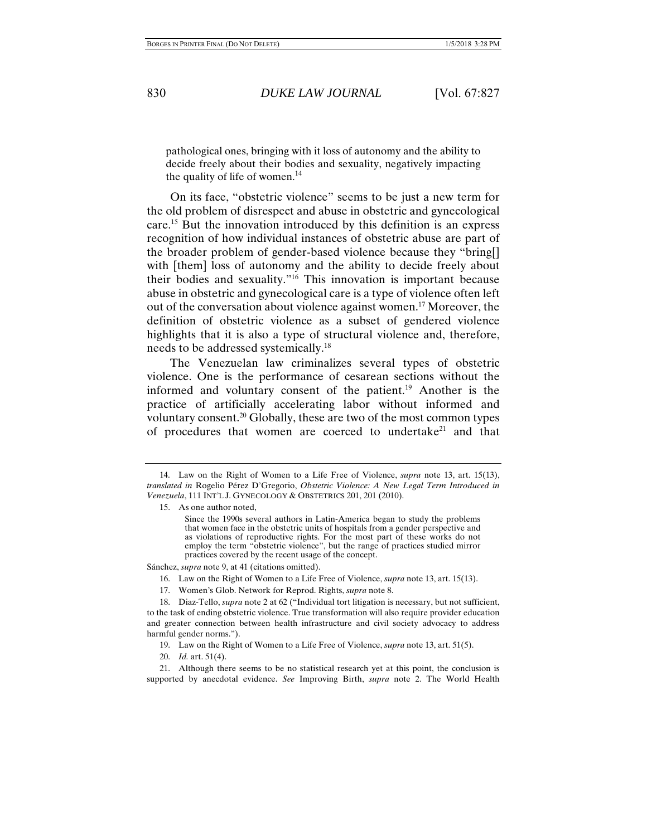pathological ones, bringing with it loss of autonomy and the ability to decide freely about their bodies and sexuality, negatively impacting the quality of life of women.<sup>14</sup>

On its face, "obstetric violence" seems to be just a new term for the old problem of disrespect and abuse in obstetric and gynecological care.15 But the innovation introduced by this definition is an express recognition of how individual instances of obstetric abuse are part of the broader problem of gender-based violence because they "bring[] with [them] loss of autonomy and the ability to decide freely about their bodies and sexuality."16 This innovation is important because abuse in obstetric and gynecological care is a type of violence often left out of the conversation about violence against women.17 Moreover, the definition of obstetric violence as a subset of gendered violence highlights that it is also a type of structural violence and, therefore, needs to be addressed systemically.18

The Venezuelan law criminalizes several types of obstetric violence. One is the performance of cesarean sections without the informed and voluntary consent of the patient.<sup>19</sup> Another is the practice of artificially accelerating labor without informed and voluntary consent.20 Globally, these are two of the most common types of procedures that women are coerced to undertake<sup>21</sup> and that

Sánchez, *supra* note 9, at 41 (citations omitted).

- 16. Law on the Right of Women to a Life Free of Violence, *supra* note 13, art. 15(13).
- 17. Women's Glob. Network for Reprod. Rights, *supra* note 8.

20. *Id.* art. 51(4).

 <sup>14.</sup> Law on the Right of Women to a Life Free of Violence, *supra* note 13, art. 15(13), *translated in* Rogelio Pérez D'Gregorio, *Obstetric Violence: A New Legal Term Introduced in Venezuela*, 111 INT'L J. GYNECOLOGY & OBSTETRICS 201, 201 (2010).

 <sup>15.</sup> As one author noted,

Since the 1990s several authors in Latin-America began to study the problems that women face in the obstetric units of hospitals from a gender perspective and as violations of reproductive rights. For the most part of these works do not employ the term "obstetric violence", but the range of practices studied mirror practices covered by the recent usage of the concept.

 <sup>18.</sup> Diaz-Tello, *supra* note 2 at 62 ("Individual tort litigation is necessary, but not sufficient, to the task of ending obstetric violence. True transformation will also require provider education and greater connection between health infrastructure and civil society advocacy to address harmful gender norms.").

 <sup>19.</sup> Law on the Right of Women to a Life Free of Violence, *supra* note 13, art. 51(5).

 <sup>21.</sup> Although there seems to be no statistical research yet at this point, the conclusion is supported by anecdotal evidence. *See* Improving Birth, *supra* note 2. The World Health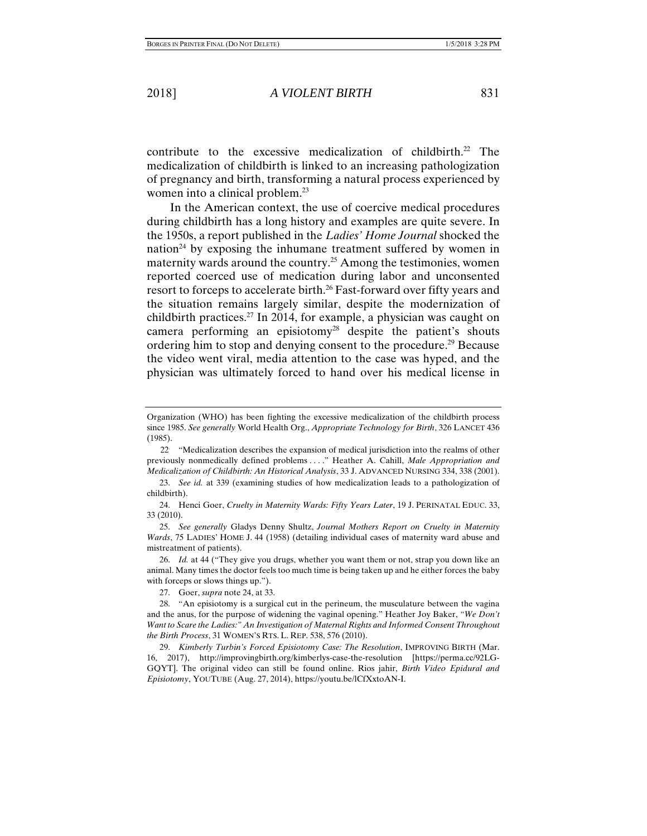contribute to the excessive medicalization of childbirth.<sup>22</sup> The medicalization of childbirth is linked to an increasing pathologization of pregnancy and birth, transforming a natural process experienced by women into a clinical problem.<sup>23</sup>

In the American context, the use of coercive medical procedures during childbirth has a long history and examples are quite severe. In the 1950s, a report published in the *Ladies' Home Journal* shocked the nation<sup>24</sup> by exposing the inhumane treatment suffered by women in maternity wards around the country.25 Among the testimonies, women reported coerced use of medication during labor and unconsented resort to forceps to accelerate birth.<sup>26</sup> Fast-forward over fifty years and the situation remains largely similar, despite the modernization of childbirth practices.<sup>27</sup> In 2014, for example, a physician was caught on camera performing an episiotomy<sup>28</sup> despite the patient's shouts ordering him to stop and denying consent to the procedure.29 Because the video went viral, media attention to the case was hyped, and the physician was ultimately forced to hand over his medical license in

27. Goer, *supra* note 24, at 33.

Organization (WHO) has been fighting the excessive medicalization of the childbirth process since 1985. *See generally* World Health Org., *Appropriate Technology for Birth*, 326 LANCET 436 (1985).

<sup>22.</sup> "Medicalization describes the expansion of medical jurisdiction into the realms of other previously nonmedically defined problems . . . ." Heather A. Cahill, *Male Appropriation and Medicalization of Childbirth: An Historical Analysis*, 33 J. ADVANCED NURSING 334, 338 (2001).

 <sup>23.</sup> *See id.* at 339 (examining studies of how medicalization leads to a pathologization of childbirth).

 <sup>24.</sup> Henci Goer, *Cruelty in Maternity Wards: Fifty Years Later*, 19 J. PERINATAL EDUC. 33, 33 (2010).

 <sup>25.</sup> *See generally* Gladys Denny Shultz, *Journal Mothers Report on Cruelty in Maternity Wards*, 75 LADIES' HOME J. 44 (1958) (detailing individual cases of maternity ward abuse and mistreatment of patients).

 <sup>26.</sup> *Id.* at 44 ("They give you drugs, whether you want them or not, strap you down like an animal. Many times the doctor feels too much time is being taken up and he either forces the baby with forceps or slows things up.").

 <sup>28. &</sup>quot;An episiotomy is a surgical cut in the perineum, the musculature between the vagina and the anus, for the purpose of widening the vaginal opening." Heather Joy Baker, *"We Don't Want to Scare the Ladies:" An Investigation of Maternal Rights and Informed Consent Throughout the Birth Process*, 31 WOMEN'S RTS. L. REP. 538, 576 (2010).

 <sup>29.</sup> *Kimberly Turbin's Forced Episiotomy Case: The Resolution*, IMPROVING BIRTH (Mar. 16, 2017), http://improvingbirth.org/kimberlys-case-the-resolution [https://perma.cc/92LG-GQYT]. The original video can still be found online. Rios jahir, *Birth Video Epidural and Episiotomy*, YOUTUBE (Aug. 27, 2014), https://youtu.be/lCfXxtoAN-I.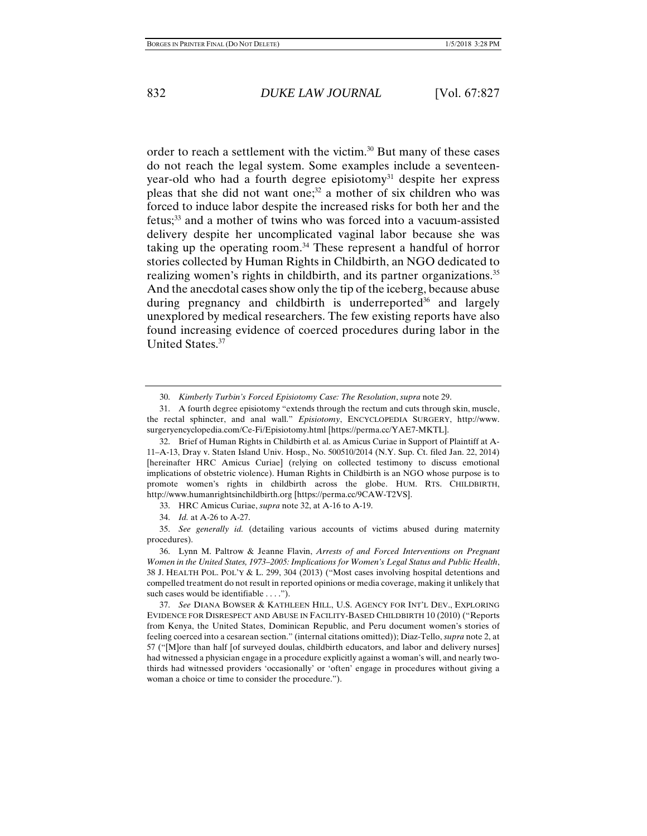order to reach a settlement with the victim.<sup>30</sup> But many of these cases do not reach the legal system. Some examples include a seventeenyear-old who had a fourth degree episiotomy<sup>31</sup> despite her express pleas that she did not want one;<sup>32</sup> a mother of six children who was forced to induce labor despite the increased risks for both her and the fetus;33 and a mother of twins who was forced into a vacuum-assisted delivery despite her uncomplicated vaginal labor because she was taking up the operating room.34 These represent a handful of horror stories collected by Human Rights in Childbirth, an NGO dedicated to realizing women's rights in childbirth, and its partner organizations.<sup>35</sup> And the anecdotal cases show only the tip of the iceberg, because abuse during pregnancy and childbirth is underreported<sup>36</sup> and largely unexplored by medical researchers. The few existing reports have also found increasing evidence of coerced procedures during labor in the United States.37

 <sup>30.</sup> *Kimberly Turbin's Forced Episiotomy Case: The Resolution*, *supra* note 29.

 <sup>31.</sup> A fourth degree episiotomy "extends through the rectum and cuts through skin, muscle, the rectal sphincter, and anal wall." *Episiotomy*, ENCYCLOPEDIA SURGERY, http://www. surgeryencyclopedia.com/Ce-Fi/Episiotomy.html [https://perma.cc/YAE7-MKTL].

 <sup>32.</sup> Brief of Human Rights in Childbirth et al. as Amicus Curiae in Support of Plaintiff at A-11–A-13, Dray v. Staten Island Univ. Hosp., No. 500510/2014 (N.Y. Sup. Ct. filed Jan. 22, 2014) [hereinafter HRC Amicus Curiae] (relying on collected testimony to discuss emotional implications of obstetric violence). Human Rights in Childbirth is an NGO whose purpose is to promote women's rights in childbirth across the globe. HUM. RTS. CHILDBIRTH, http://www.humanrightsinchildbirth.org [https://perma.cc/9CAW-T2VS].

 <sup>33.</sup> HRC Amicus Curiae, *supra* note 32, at A-16 to A-19.

 <sup>34.</sup> *Id.* at A-26 to A-27.

 <sup>35.</sup> *See generally id.* (detailing various accounts of victims abused during maternity procedures).

 <sup>36.</sup> Lynn M. Paltrow & Jeanne Flavin, *Arrests of and Forced Interventions on Pregnant Women in the United States, 1973–2005: Implications for Women's Legal Status and Public Health*, 38 J. HEALTH POL. POL'Y & L. 299, 304 (2013) ("Most cases involving hospital detentions and compelled treatment do not result in reported opinions or media coverage, making it unlikely that such cases would be identifiable . . . .").

 <sup>37.</sup> *See* DIANA BOWSER & KATHLEEN HILL, U.S. AGENCY FOR INT'L DEV., EXPLORING EVIDENCE FOR DISRESPECT AND ABUSE IN FACILITY-BASED CHILDBIRTH 10 (2010) ("Reports from Kenya, the United States, Dominican Republic, and Peru document women's stories of feeling coerced into a cesarean section." (internal citations omitted)); Diaz-Tello, *supra* note 2, at 57 ("[M]ore than half [of surveyed doulas, childbirth educators, and labor and delivery nurses] had witnessed a physician engage in a procedure explicitly against a woman's will, and nearly twothirds had witnessed providers 'occasionally' or 'often' engage in procedures without giving a woman a choice or time to consider the procedure.").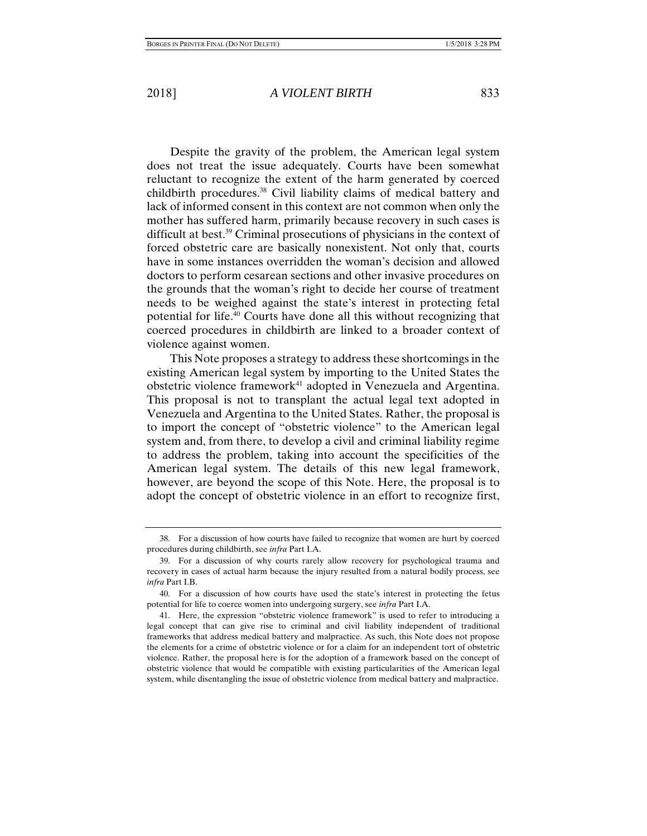Despite the gravity of the problem, the American legal system does not treat the issue adequately. Courts have been somewhat reluctant to recognize the extent of the harm generated by coerced childbirth procedures.38 Civil liability claims of medical battery and lack of informed consent in this context are not common when only the mother has suffered harm, primarily because recovery in such cases is difficult at best.39 Criminal prosecutions of physicians in the context of forced obstetric care are basically nonexistent. Not only that, courts have in some instances overridden the woman's decision and allowed doctors to perform cesarean sections and other invasive procedures on the grounds that the woman's right to decide her course of treatment needs to be weighed against the state's interest in protecting fetal potential for life.40 Courts have done all this without recognizing that coerced procedures in childbirth are linked to a broader context of violence against women.

This Note proposes a strategy to address these shortcomings in the existing American legal system by importing to the United States the obstetric violence framework<sup>41</sup> adopted in Venezuela and Argentina. This proposal is not to transplant the actual legal text adopted in Venezuela and Argentina to the United States. Rather, the proposal is to import the concept of "obstetric violence" to the American legal system and, from there, to develop a civil and criminal liability regime to address the problem, taking into account the specificities of the American legal system. The details of this new legal framework, however, are beyond the scope of this Note. Here, the proposal is to adopt the concept of obstetric violence in an effort to recognize first,

 <sup>38.</sup> For a discussion of how courts have failed to recognize that women are hurt by coerced procedures during childbirth, see *infra* Part I.A.

 <sup>39.</sup> For a discussion of why courts rarely allow recovery for psychological trauma and recovery in cases of actual harm because the injury resulted from a natural bodily process, see *infra* Part I.B.

 <sup>40.</sup> For a discussion of how courts have used the state's interest in protecting the fetus potential for life to coerce women into undergoing surgery, see *infra* Part I.A.

 <sup>41.</sup> Here, the expression "obstetric violence framework" is used to refer to introducing a legal concept that can give rise to criminal and civil liability independent of traditional frameworks that address medical battery and malpractice. As such, this Note does not propose the elements for a crime of obstetric violence or for a claim for an independent tort of obstetric violence. Rather, the proposal here is for the adoption of a framework based on the concept of obstetric violence that would be compatible with existing particularities of the American legal system, while disentangling the issue of obstetric violence from medical battery and malpractice.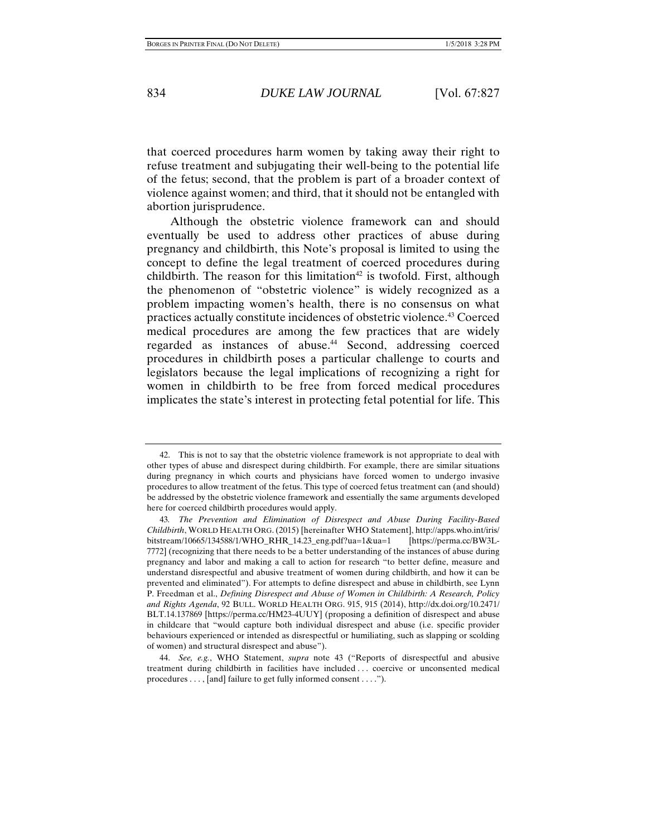that coerced procedures harm women by taking away their right to refuse treatment and subjugating their well-being to the potential life of the fetus; second, that the problem is part of a broader context of violence against women; and third, that it should not be entangled with abortion jurisprudence.

Although the obstetric violence framework can and should eventually be used to address other practices of abuse during pregnancy and childbirth, this Note's proposal is limited to using the concept to define the legal treatment of coerced procedures during childbirth. The reason for this limitation<sup>42</sup> is twofold. First, although the phenomenon of "obstetric violence" is widely recognized as a problem impacting women's health, there is no consensus on what practices actually constitute incidences of obstetric violence.43 Coerced medical procedures are among the few practices that are widely regarded as instances of abuse.<sup>44</sup> Second, addressing coerced procedures in childbirth poses a particular challenge to courts and legislators because the legal implications of recognizing a right for women in childbirth to be free from forced medical procedures implicates the state's interest in protecting fetal potential for life. This

 <sup>42.</sup> This is not to say that the obstetric violence framework is not appropriate to deal with other types of abuse and disrespect during childbirth. For example, there are similar situations during pregnancy in which courts and physicians have forced women to undergo invasive procedures to allow treatment of the fetus. This type of coerced fetus treatment can (and should) be addressed by the obstetric violence framework and essentially the same arguments developed here for coerced childbirth procedures would apply.

<sup>43</sup>*. The Prevention and Elimination of Disrespect and Abuse During Facility-Based Childbirth*, WORLD HEALTH ORG.(2015) [hereinafter WHO Statement], http://apps.who.int/iris/ bitstream/10665/134588/1/WHO\_RHR\_14.23\_eng.pdf?ua=1&ua=1 [https://perma.cc/BW3L-7772] (recognizing that there needs to be a better understanding of the instances of abuse during pregnancy and labor and making a call to action for research "to better define, measure and understand disrespectful and abusive treatment of women during childbirth, and how it can be prevented and eliminated"). For attempts to define disrespect and abuse in childbirth, see Lynn P. Freedman et al., *Defining Disrespect and Abuse of Women in Childbirth: A Research, Policy and Rights Agenda*, 92 BULL. WORLD HEALTH ORG. 915, 915 (2014), http://dx.doi.org/10.2471/ BLT.14.137869 [https://perma.cc/HM23-4UUY] (proposing a definition of disrespect and abuse in childcare that "would capture both individual disrespect and abuse (i.e. specific provider behaviours experienced or intended as disrespectful or humiliating, such as slapping or scolding of women) and structural disrespect and abuse").

 <sup>44.</sup> *See, e.g.*, WHO Statement, *supra* note 43 ("Reports of disrespectful and abusive treatment during childbirth in facilities have included . . . coercive or unconsented medical procedures . . . , [and] failure to get fully informed consent . . . .").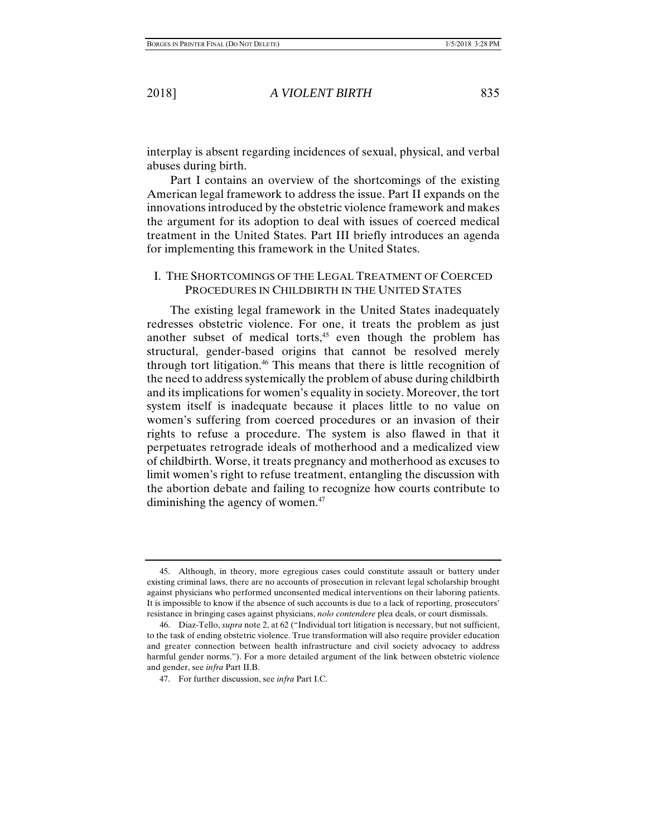interplay is absent regarding incidences of sexual, physical, and verbal abuses during birth.

Part I contains an overview of the shortcomings of the existing American legal framework to address the issue. Part II expands on the innovations introduced by the obstetric violence framework and makes the argument for its adoption to deal with issues of coerced medical treatment in the United States. Part III briefly introduces an agenda for implementing this framework in the United States.

#### I. THE SHORTCOMINGS OF THE LEGAL TREATMENT OF COERCED PROCEDURES IN CHILDBIRTH IN THE UNITED STATES

The existing legal framework in the United States inadequately redresses obstetric violence. For one, it treats the problem as just another subset of medical torts, $45$  even though the problem has structural, gender-based origins that cannot be resolved merely through tort litigation.46 This means that there is little recognition of the need to address systemically the problem of abuse during childbirth and its implications for women's equality in society. Moreover, the tort system itself is inadequate because it places little to no value on women's suffering from coerced procedures or an invasion of their rights to refuse a procedure. The system is also flawed in that it perpetuates retrograde ideals of motherhood and a medicalized view of childbirth. Worse, it treats pregnancy and motherhood as excuses to limit women's right to refuse treatment, entangling the discussion with the abortion debate and failing to recognize how courts contribute to diminishing the agency of women.<sup>47</sup>

 <sup>45.</sup> Although, in theory, more egregious cases could constitute assault or battery under existing criminal laws, there are no accounts of prosecution in relevant legal scholarship brought against physicians who performed unconsented medical interventions on their laboring patients. It is impossible to know if the absence of such accounts is due to a lack of reporting, prosecutors' resistance in bringing cases against physicians, *nolo contendere* plea deals, or court dismissals.

 <sup>46.</sup> Diaz-Tello, *supra* note 2, at 62 ("Individual tort litigation is necessary, but not sufficient, to the task of ending obstetric violence. True transformation will also require provider education and greater connection between health infrastructure and civil society advocacy to address harmful gender norms."). For a more detailed argument of the link between obstetric violence and gender, see *infra* Part II.B.

 <sup>47.</sup> For further discussion, see *infra* Part I.C.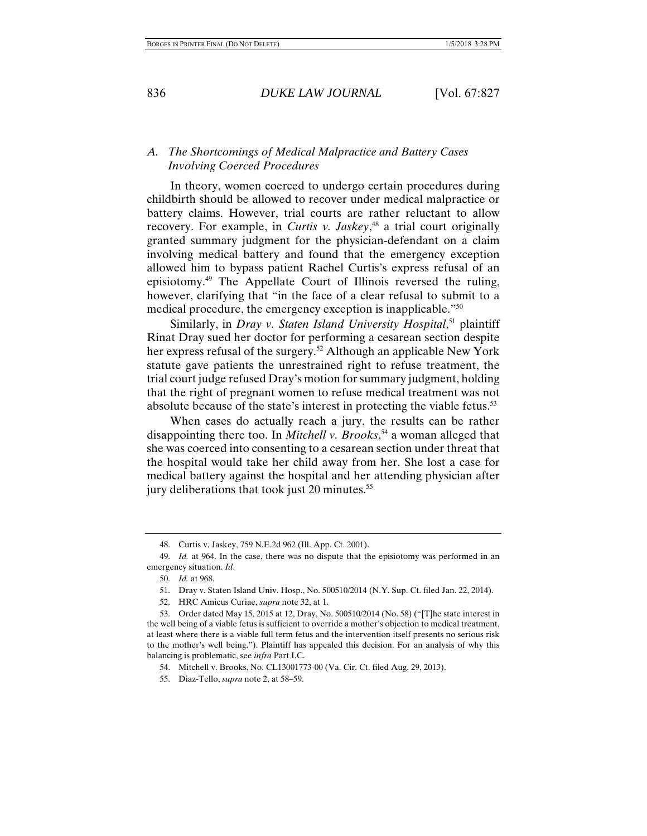### *A. The Shortcomings of Medical Malpractice and Battery Cases Involving Coerced Procedures*

In theory, women coerced to undergo certain procedures during childbirth should be allowed to recover under medical malpractice or battery claims. However, trial courts are rather reluctant to allow recovery. For example, in *Curtis v. Jaskey*, 48 a trial court originally granted summary judgment for the physician-defendant on a claim involving medical battery and found that the emergency exception allowed him to bypass patient Rachel Curtis's express refusal of an episiotomy.49 The Appellate Court of Illinois reversed the ruling, however, clarifying that "in the face of a clear refusal to submit to a medical procedure, the emergency exception is inapplicable."50

Similarly, in *Dray v. Staten Island University Hospital*, 51 plaintiff Rinat Dray sued her doctor for performing a cesarean section despite her express refusal of the surgery.<sup>52</sup> Although an applicable New York statute gave patients the unrestrained right to refuse treatment, the trial court judge refused Dray's motion for summary judgment, holding that the right of pregnant women to refuse medical treatment was not absolute because of the state's interest in protecting the viable fetus.<sup>53</sup>

When cases do actually reach a jury, the results can be rather disappointing there too. In *Mitchell v. Brooks*, 54 a woman alleged that she was coerced into consenting to a cesarean section under threat that the hospital would take her child away from her. She lost a case for medical battery against the hospital and her attending physician after jury deliberations that took just 20 minutes.<sup>55</sup>

52. HRC Amicus Curiae, *supra* note 32, at 1.

 <sup>48.</sup> Curtis v. Jaskey, 759 N.E.2d 962 (Ill. App. Ct. 2001).

 <sup>49.</sup> *Id.* at 964. In the case, there was no dispute that the episiotomy was performed in an emergency situation. *Id*.

 <sup>50.</sup> *Id.* at 968.

 <sup>51.</sup> Dray v. Staten Island Univ. Hosp., No. 500510/2014 (N.Y. Sup. Ct. filed Jan. 22, 2014).

 <sup>53.</sup> Order dated May 15, 2015 at 12, Dray, No. 500510/2014 (No. 58) ("[T]he state interest in the well being of a viable fetus is sufficient to override a mother's objection to medical treatment, at least where there is a viable full term fetus and the intervention itself presents no serious risk to the mother's well being."). Plaintiff has appealed this decision. For an analysis of why this balancing is problematic, see *infra* Part I.C.

 <sup>54.</sup> Mitchell v. Brooks, No. CL13001773-00 (Va. Cir. Ct. filed Aug. 29, 2013).

 <sup>55.</sup> Diaz-Tello, *supra* note 2, at 58–59.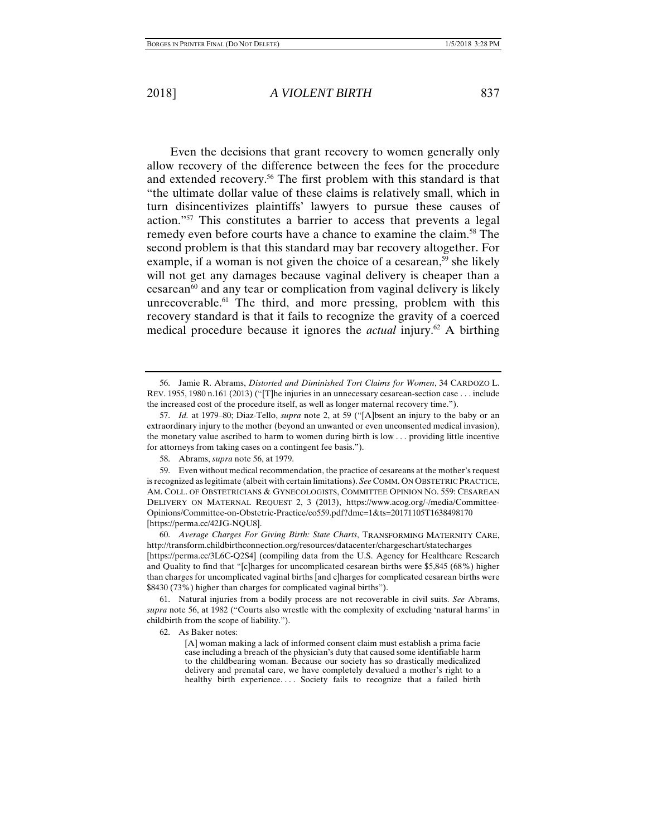Even the decisions that grant recovery to women generally only allow recovery of the difference between the fees for the procedure and extended recovery.<sup>56</sup> The first problem with this standard is that "the ultimate dollar value of these claims is relatively small, which in turn disincentivizes plaintiffs' lawyers to pursue these causes of action."57 This constitutes a barrier to access that prevents a legal remedy even before courts have a chance to examine the claim.<sup>58</sup> The second problem is that this standard may bar recovery altogether. For example, if a woman is not given the choice of a cesarean,<sup>59</sup> she likely will not get any damages because vaginal delivery is cheaper than a  $cesarea<sup>60</sup>$  and any tear or complication from vaginal delivery is likely unrecoverable. $61$  The third, and more pressing, problem with this recovery standard is that it fails to recognize the gravity of a coerced medical procedure because it ignores the *actual* injury.<sup>62</sup> A birthing

62. As Baker notes:

 <sup>56.</sup> Jamie R. Abrams, *Distorted and Diminished Tort Claims for Women*, 34 CARDOZO L. REV. 1955, 1980 n.161 (2013) ("[T]he injuries in an unnecessary cesarean-section case . . . include the increased cost of the procedure itself, as well as longer maternal recovery time.").

 <sup>57.</sup> *Id.* at 1979–80; Diaz-Tello, *supra* note 2, at 59 ("[A]bsent an injury to the baby or an extraordinary injury to the mother (beyond an unwanted or even unconsented medical invasion), the monetary value ascribed to harm to women during birth is low . . . providing little incentive for attorneys from taking cases on a contingent fee basis.").

 <sup>58.</sup> Abrams, *supra* note 56, at 1979.

 <sup>59.</sup> Even without medical recommendation, the practice of cesareans at the mother's request is recognized as legitimate (albeit with certain limitations). *See* COMM. ON OBSTETRIC PRACTICE, AM. COLL. OF OBSTETRICIANS & GYNECOLOGISTS, COMMITTEE OPINION NO. 559: CESAREAN DELIVERY ON MATERNAL REQUEST 2, 3 (2013), https://www.acog.org/-/media/Committee-Opinions/Committee-on-Obstetric-Practice/co559.pdf?dmc=1&ts=20171105T1638498170 [https://perma.cc/42JG-NQU8].

 <sup>60.</sup> *Average Charges For Giving Birth: State Charts*, TRANSFORMING MATERNITY CARE, http://transform.childbirthconnection.org/resources/datacenter/chargeschart/statecharges [https://perma.cc/3L6C-Q2S4] (compiling data from the U.S. Agency for Healthcare Research and Quality to find that "[c]harges for uncomplicated cesarean births were \$5,845 (68%) higher than charges for uncomplicated vaginal births [and c]harges for complicated cesarean births were \$8430 (73%) higher than charges for complicated vaginal births").

 <sup>61.</sup> Natural injuries from a bodily process are not recoverable in civil suits. *See* Abrams, *supra* note 56, at 1982 ("Courts also wrestle with the complexity of excluding 'natural harms' in childbirth from the scope of liability.").

<sup>[</sup>A] woman making a lack of informed consent claim must establish a prima facie case including a breach of the physician's duty that caused some identifiable harm to the childbearing woman. Because our society has so drastically medicalized delivery and prenatal care, we have completely devalued a mother's right to a healthy birth experience.... Society fails to recognize that a failed birth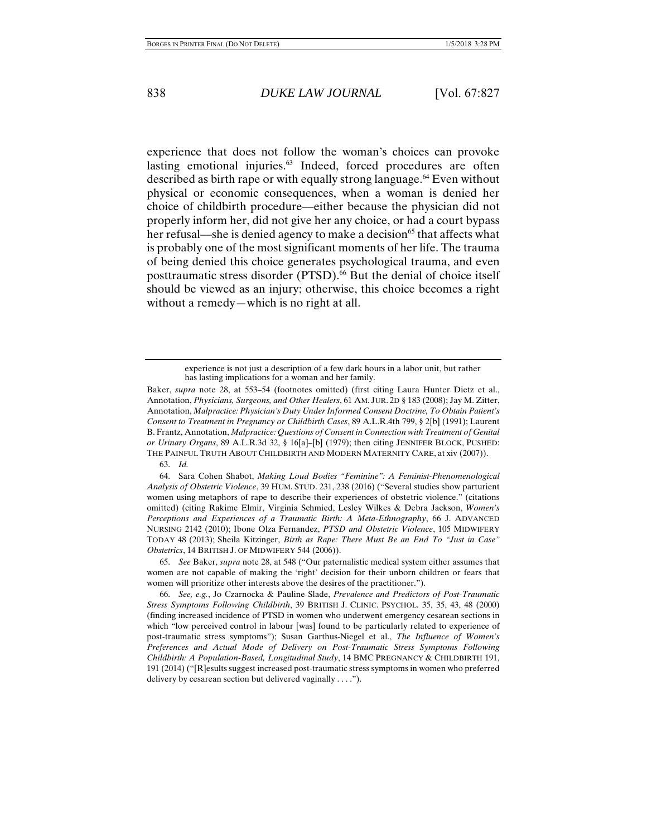experience that does not follow the woman's choices can provoke lasting emotional injuries.<sup>63</sup> Indeed, forced procedures are often described as birth rape or with equally strong language.64 Even without physical or economic consequences, when a woman is denied her choice of childbirth procedure––either because the physician did not properly inform her, did not give her any choice, or had a court bypass her refusal—she is denied agency to make a decision<sup>65</sup> that affects what is probably one of the most significant moments of her life. The trauma of being denied this choice generates psychological trauma, and even posttraumatic stress disorder (PTSD).<sup>66</sup> But the denial of choice itself should be viewed as an injury; otherwise, this choice becomes a right without a remedy—which is no right at all.

63. *Id.*

 65. *See* Baker, *supra* note 28, at 548 ("Our paternalistic medical system either assumes that women are not capable of making the 'right' decision for their unborn children or fears that women will prioritize other interests above the desires of the practitioner.").

 66. *See, e.g.*, Jo Czarnocka & Pauline Slade, *Prevalence and Predictors of Post-Traumatic Stress Symptoms Following Childbirth*, 39 BRITISH J. CLINIC. PSYCHOL. 35, 35, 43, 48 (2000) (finding increased incidence of PTSD in women who underwent emergency cesarean sections in which "low perceived control in labour [was] found to be particularly related to experience of post-traumatic stress symptoms"); Susan Garthus-Niegel et al., *The Influence of Women's Preferences and Actual Mode of Delivery on Post-Traumatic Stress Symptoms Following Childbirth: A Population-Based, Longitudinal Study*, 14 BMC PREGNANCY & CHILDBIRTH 191, 191 (2014) ("[R]esults suggest increased post-traumatic stress symptoms in women who preferred delivery by cesarean section but delivered vaginally . . . .").

experience is not just a description of a few dark hours in a labor unit, but rather has lasting implications for a woman and her family.

Baker, *supra* note 28, at 553–54 (footnotes omitted) (first citing Laura Hunter Dietz et al., Annotation, *Physicians, Surgeons, and Other Healers*, 61 AM. JUR. 2D § 183 (2008); Jay M. Zitter, Annotation, *Malpractice: Physician's Duty Under Informed Consent Doctrine, To Obtain Patient's Consent to Treatment in Pregnancy or Childbirth Cases*, 89 A.L.R.4th 799, § 2[b] (1991); Laurent B. Frantz, Annotation, *Malpractice: Questions of Consent in Connection with Treatment of Genital or Urinary Organs*, 89 A.L.R.3d 32, § 16[a]–[b] (1979); then citing JENNIFER BLOCK, PUSHED: THE PAINFUL TRUTH ABOUT CHILDBIRTH AND MODERN MATERNITY CARE, at xiv (2007)).

 <sup>64.</sup> Sara Cohen Shabot, *Making Loud Bodies "Feminine": A Feminist-Phenomenological Analysis of Obstetric Violence*, 39 HUM. STUD. 231, 238 (2016) ("Several studies show parturient women using metaphors of rape to describe their experiences of obstetric violence." (citations omitted) (citing Rakime Elmir, Virginia Schmied, Lesley Wilkes & Debra Jackson, *Women's Perceptions and Experiences of a Traumatic Birth: A Meta-Ethnography*, 66 J. ADVANCED NURSING 2142 (2010); Ibone Olza Fernandez, *PTSD and Obstetric Violence*, 105 MIDWIFERY TODAY 48 (2013); Sheila Kitzinger, *Birth as Rape: There Must Be an End To "Just in Case" Obstetrics*, 14 BRITISH J. OF MIDWIFERY 544 (2006)).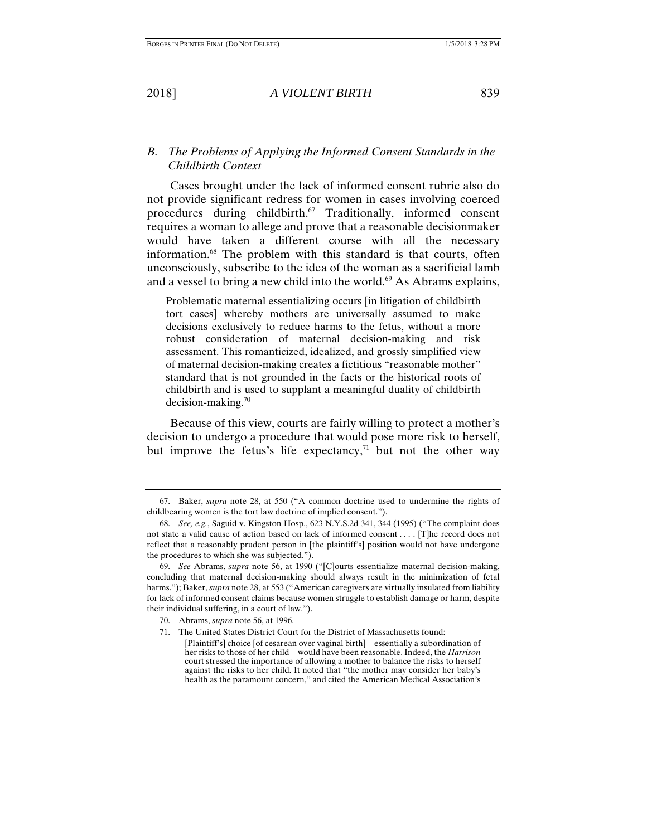## *B. The Problems of Applying the Informed Consent Standards in the Childbirth Context*

Cases brought under the lack of informed consent rubric also do not provide significant redress for women in cases involving coerced procedures during childbirth.<sup>67</sup> Traditionally, informed consent requires a woman to allege and prove that a reasonable decisionmaker would have taken a different course with all the necessary information.68 The problem with this standard is that courts, often unconsciously, subscribe to the idea of the woman as a sacrificial lamb and a vessel to bring a new child into the world.<sup>69</sup> As Abrams explains,

Problematic maternal essentializing occurs [in litigation of childbirth tort cases] whereby mothers are universally assumed to make decisions exclusively to reduce harms to the fetus, without a more robust consideration of maternal decision-making and risk assessment. This romanticized, idealized, and grossly simplified view of maternal decision-making creates a fictitious "reasonable mother" standard that is not grounded in the facts or the historical roots of childbirth and is used to supplant a meaningful duality of childbirth decision-making. $70$ 

Because of this view, courts are fairly willing to protect a mother's decision to undergo a procedure that would pose more risk to herself, but improve the fetus's life expectancy,<sup> $71$ </sup> but not the other way

- 70. Abrams, *supra* note 56, at 1996.
- 71. The United States District Court for the District of Massachusetts found:

 <sup>67.</sup> Baker, *supra* note 28, at 550 ("A common doctrine used to undermine the rights of childbearing women is the tort law doctrine of implied consent.").

 <sup>68.</sup> *See, e.g.*, Saguid v. Kingston Hosp., 623 N.Y.S.2d 341, 344 (1995) ("The complaint does not state a valid cause of action based on lack of informed consent . . . . [T]he record does not reflect that a reasonably prudent person in [the plaintiff's] position would not have undergone the procedures to which she was subjected.").

 <sup>69.</sup> *See* Abrams, *supra* note 56, at 1990 ("[C]ourts essentialize maternal decision-making, concluding that maternal decision-making should always result in the minimization of fetal harms."); Baker, *supra* note 28, at 553 ("American caregivers are virtually insulated from liability for lack of informed consent claims because women struggle to establish damage or harm, despite their individual suffering, in a court of law.").

<sup>[</sup>Plaintiff's] choice [of cesarean over vaginal birth]—essentially a subordination of her risks to those of her child—would have been reasonable. Indeed, the *Harrison* court stressed the importance of allowing a mother to balance the risks to herself against the risks to her child. It noted that "the mother may consider her baby's health as the paramount concern," and cited the American Medical Association's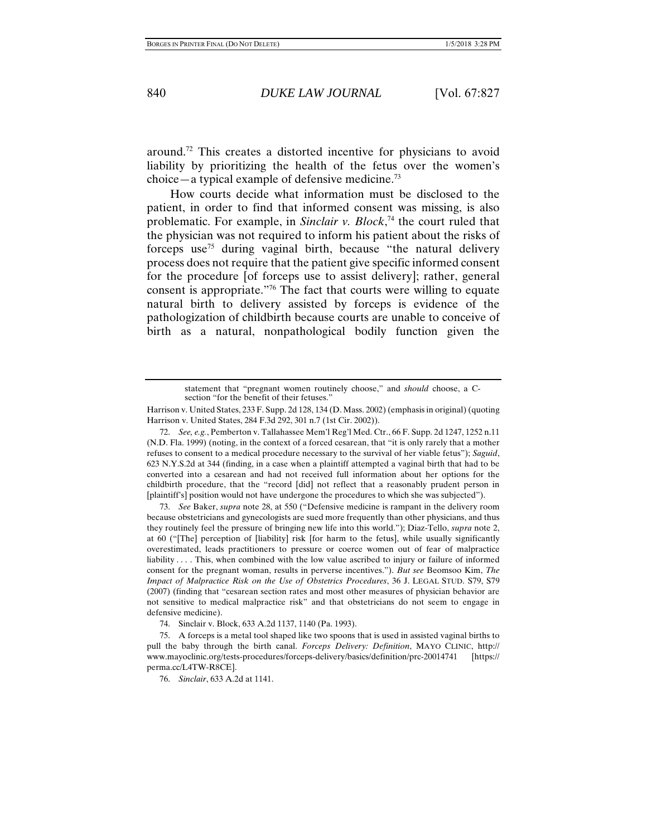around.72 This creates a distorted incentive for physicians to avoid liability by prioritizing the health of the fetus over the women's choice—a typical example of defensive medicine.<sup>73</sup>

How courts decide what information must be disclosed to the patient, in order to find that informed consent was missing, is also problematic. For example, in *Sinclair v. Block*, 74 the court ruled that the physician was not required to inform his patient about the risks of forceps use<sup>75</sup> during vaginal birth, because "the natural delivery process does not require that the patient give specific informed consent for the procedure [of forceps use to assist delivery]; rather, general consent is appropriate."76 The fact that courts were willing to equate natural birth to delivery assisted by forceps is evidence of the pathologization of childbirth because courts are unable to conceive of birth as a natural, nonpathological bodily function given the

Harrison v. United States, 233 F. Supp. 2d 128, 134 (D. Mass. 2002) (emphasis in original) (quoting Harrison v. United States, 284 F.3d 292, 301 n.7 (1st Cir. 2002)).

 72. *See, e.g.*, Pemberton v. Tallahassee Mem'l Reg'l Med. Ctr., 66 F. Supp. 2d 1247, 1252 n.11 (N.D. Fla. 1999) (noting, in the context of a forced cesarean, that "it is only rarely that a mother refuses to consent to a medical procedure necessary to the survival of her viable fetus"); *Saguid*, 623 N.Y.S.2d at 344 (finding, in a case when a plaintiff attempted a vaginal birth that had to be converted into a cesarean and had not received full information about her options for the childbirth procedure, that the "record [did] not reflect that a reasonably prudent person in [plaintiff's] position would not have undergone the procedures to which she was subjected").

 73. *See* Baker, *supra* note 28, at 550 ("Defensive medicine is rampant in the delivery room because obstetricians and gynecologists are sued more frequently than other physicians, and thus they routinely feel the pressure of bringing new life into this world."); Diaz-Tello, *supra* note 2, at 60 ("[The] perception of [liability] risk [for harm to the fetus], while usually significantly overestimated, leads practitioners to pressure or coerce women out of fear of malpractice liability ... . This, when combined with the low value ascribed to injury or failure of informed consent for the pregnant woman, results in perverse incentives."). *But see* Beomsoo Kim, *The Impact of Malpractice Risk on the Use of Obstetrics Procedures*, 36 J. LEGAL STUD. S79, S79 (2007) (finding that "cesarean section rates and most other measures of physician behavior are not sensitive to medical malpractice risk" and that obstetricians do not seem to engage in defensive medicine).

74. Sinclair v. Block, 633 A.2d 1137, 1140 (Pa. 1993).

 75. A forceps is a metal tool shaped like two spoons that is used in assisted vaginal births to pull the baby through the birth canal. *Forceps Delivery: Definition*, MAYO CLINIC, http:// www.mayoclinic.org/tests-procedures/forceps-delivery/basics/definition/prc-20014741 [https:// perma.cc/L4TW-R8CE].

76. *Sinclair*, 633 A.2d at 1141.

statement that "pregnant women routinely choose," and *should* choose, a Csection "for the benefit of their fetuses."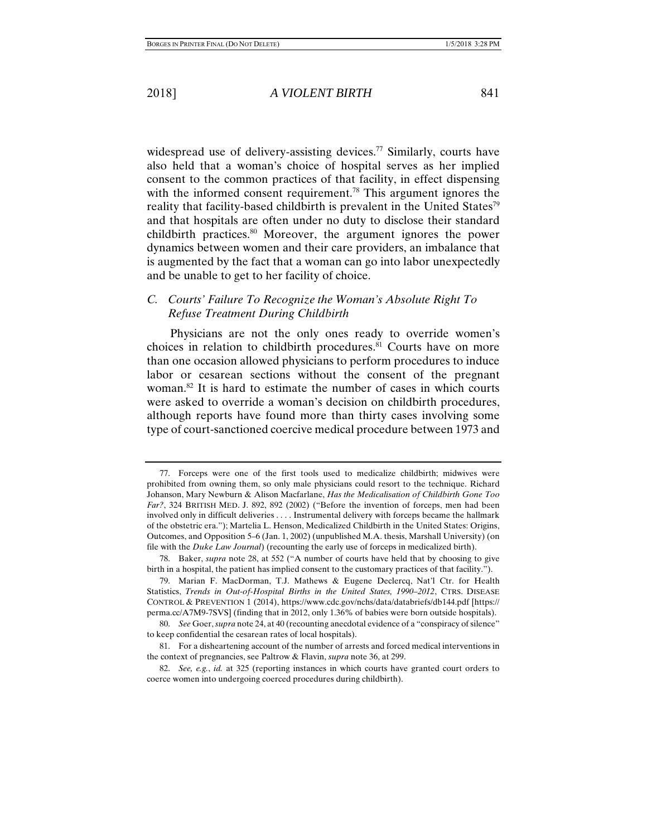widespread use of delivery-assisting devices.<sup>77</sup> Similarly, courts have also held that a woman's choice of hospital serves as her implied consent to the common practices of that facility, in effect dispensing with the informed consent requirement.<sup>78</sup> This argument ignores the reality that facility-based childbirth is prevalent in the United States<sup>79</sup> and that hospitals are often under no duty to disclose their standard childbirth practices.80 Moreover, the argument ignores the power dynamics between women and their care providers, an imbalance that is augmented by the fact that a woman can go into labor unexpectedly and be unable to get to her facility of choice.

## *C. Courts' Failure To Recognize the Woman's Absolute Right To Refuse Treatment During Childbirth*

Physicians are not the only ones ready to override women's choices in relation to childbirth procedures.<sup>81</sup> Courts have on more than one occasion allowed physicians to perform procedures to induce labor or cesarean sections without the consent of the pregnant woman.82 It is hard to estimate the number of cases in which courts were asked to override a woman's decision on childbirth procedures, although reports have found more than thirty cases involving some type of court-sanctioned coercive medical procedure between 1973 and

 <sup>77.</sup> Forceps were one of the first tools used to medicalize childbirth; midwives were prohibited from owning them, so only male physicians could resort to the technique. Richard Johanson, Mary Newburn & Alison Macfarlane, *Has the Medicalisation of Childbirth Gone Too Far?*, 324 BRITISH MED. J. 892, 892 (2002) ("Before the invention of forceps, men had been involved only in difficult deliveries . . . . Instrumental delivery with forceps became the hallmark of the obstetric era."); Martelia L. Henson, Medicalized Childbirth in the United States: Origins, Outcomes, and Opposition 5–6 (Jan. 1, 2002) (unpublished M.A. thesis, Marshall University) (on file with the *Duke Law Journal*) (recounting the early use of forceps in medicalized birth).

 <sup>78.</sup> Baker, *supra* note 28, at 552 ("A number of courts have held that by choosing to give birth in a hospital, the patient has implied consent to the customary practices of that facility.").

 <sup>79.</sup> Marian F. MacDorman, T.J. Mathews & Eugene Declercq, Nat'l Ctr. for Health Statistics, *Trends in Out-of-Hospital Births in the United States, 1990–2012*, CTRS. DISEASE CONTROL & PREVENTION 1 (2014), https://www.cdc.gov/nchs/data/databriefs/db144.pdf [https:// perma.cc/A7M9-7SVS] (finding that in 2012, only 1.36% of babies were born outside hospitals).

 <sup>80.</sup> *See* Goer, *supra* note 24, at 40 (recounting anecdotal evidence of a "conspiracy of silence" to keep confidential the cesarean rates of local hospitals).

 <sup>81.</sup> For a disheartening account of the number of arrests and forced medical interventions in the context of pregnancies, see Paltrow & Flavin, *supra* note 36, at 299.

 <sup>82.</sup> *See, e.g.*, *id.* at 325 (reporting instances in which courts have granted court orders to coerce women into undergoing coerced procedures during childbirth).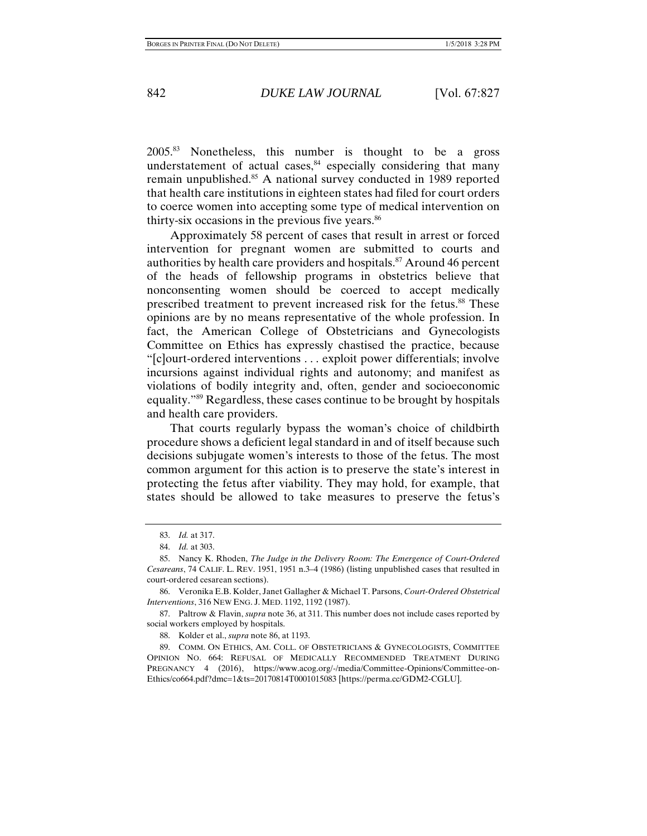2005.83 Nonetheless, this number is thought to be a gross understatement of actual cases, $84$  especially considering that many remain unpublished.<sup>85</sup> A national survey conducted in 1989 reported that health care institutions in eighteen states had filed for court orders to coerce women into accepting some type of medical intervention on thirty-six occasions in the previous five years. $86$ 

Approximately 58 percent of cases that result in arrest or forced intervention for pregnant women are submitted to courts and authorities by health care providers and hospitals.87 Around 46 percent of the heads of fellowship programs in obstetrics believe that nonconsenting women should be coerced to accept medically prescribed treatment to prevent increased risk for the fetus.<sup>88</sup> These opinions are by no means representative of the whole profession. In fact, the American College of Obstetricians and Gynecologists Committee on Ethics has expressly chastised the practice, because "[c]ourt-ordered interventions . . . exploit power differentials; involve incursions against individual rights and autonomy; and manifest as violations of bodily integrity and, often, gender and socioeconomic equality."89 Regardless, these cases continue to be brought by hospitals and health care providers.

That courts regularly bypass the woman's choice of childbirth procedure shows a deficient legal standard in and of itself because such decisions subjugate women's interests to those of the fetus. The most common argument for this action is to preserve the state's interest in protecting the fetus after viability. They may hold, for example, that states should be allowed to take measures to preserve the fetus's

 87. Paltrow & Flavin, *supra* note 36, at 311. This number does not include cases reported by social workers employed by hospitals.

88. Kolder et al., *supra* note 86, at 1193.

 89. COMM. ON ETHICS, AM. COLL. OF OBSTETRICIANS & GYNECOLOGISTS, COMMITTEE OPINION NO. 664: REFUSAL OF MEDICALLY RECOMMENDED TREATMENT DURING PREGNANCY 4 (2016), https://www.acog.org/-/media/Committee-Opinions/Committee-on-Ethics/co664.pdf?dmc=1&ts=20170814T0001015083 [https://perma.cc/GDM2-CGLU].

 <sup>83.</sup> *Id.* at 317.

 <sup>84.</sup> *Id.* at 303.

 <sup>85.</sup> Nancy K. Rhoden, *The Judge in the Delivery Room: The Emergence of Court-Ordered Cesareans*, 74 CALIF. L. REV. 1951, 1951 n.3–4 (1986) (listing unpublished cases that resulted in court-ordered cesarean sections).

 <sup>86.</sup> Veronika E.B. Kolder, Janet Gallagher & Michael T. Parsons, *Court-Ordered Obstetrical Interventions*, 316 NEW ENG. J. MED. 1192, 1192 (1987).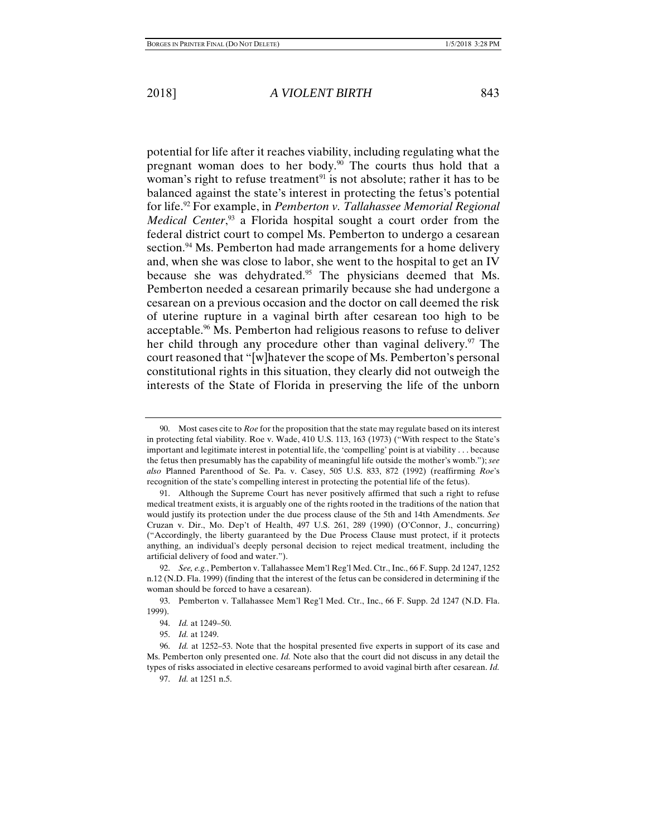potential for life after it reaches viability, including regulating what the pregnant woman does to her body.<sup>90</sup> The courts thus hold that a woman's right to refuse treatment<sup>91</sup> is not absolute; rather it has to be balanced against the state's interest in protecting the fetus's potential for life.92 For example, in *Pemberton v. Tallahassee Memorial Regional Medical Center*,<sup>93</sup> a Florida hospital sought a court order from the federal district court to compel Ms. Pemberton to undergo a cesarean section.<sup>94</sup> Ms. Pemberton had made arrangements for a home delivery and, when she was close to labor, she went to the hospital to get an IV because she was dehydrated.<sup>95</sup> The physicians deemed that Ms. Pemberton needed a cesarean primarily because she had undergone a cesarean on a previous occasion and the doctor on call deemed the risk of uterine rupture in a vaginal birth after cesarean too high to be acceptable.96 Ms. Pemberton had religious reasons to refuse to deliver her child through any procedure other than vaginal delivery.<sup>97</sup> The court reasoned that "[w]hatever the scope of Ms. Pemberton's personal constitutional rights in this situation, they clearly did not outweigh the interests of the State of Florida in preserving the life of the unborn

 <sup>90.</sup> Most cases cite to *Roe* for the proposition that the state may regulate based on its interest in protecting fetal viability. Roe v. Wade, 410 U.S. 113, 163 (1973) ("With respect to the State's important and legitimate interest in potential life, the 'compelling' point is at viability . . . because the fetus then presumably has the capability of meaningful life outside the mother's womb."); *see also* Planned Parenthood of Se. Pa. v. Casey, 505 U.S. 833, 872 (1992) (reaffirming *Roe*'s recognition of the state's compelling interest in protecting the potential life of the fetus).

 <sup>91.</sup> Although the Supreme Court has never positively affirmed that such a right to refuse medical treatment exists, it is arguably one of the rights rooted in the traditions of the nation that would justify its protection under the due process clause of the 5th and 14th Amendments. *See*  Cruzan v. Dir., Mo. Dep't of Health, 497 U.S. 261, 289 (1990) (O'Connor, J., concurring) ("Accordingly, the liberty guaranteed by the Due Process Clause must protect, if it protects anything, an individual's deeply personal decision to reject medical treatment, including the artificial delivery of food and water.").

 <sup>92.</sup> *See, e.g.*, Pemberton v. Tallahassee Mem'l Reg'l Med. Ctr., Inc., 66 F. Supp. 2d 1247, 1252 n.12 (N.D. Fla. 1999) (finding that the interest of the fetus can be considered in determining if the woman should be forced to have a cesarean).

 <sup>93.</sup> Pemberton v. Tallahassee Mem'l Reg'l Med. Ctr., Inc., 66 F. Supp. 2d 1247 (N.D. Fla. 1999).

 <sup>94.</sup> *Id.* at 1249–50.

 <sup>95.</sup> *Id.* at 1249.

 <sup>96.</sup> *Id.* at 1252–53. Note that the hospital presented five experts in support of its case and Ms. Pemberton only presented one. *Id.* Note also that the court did not discuss in any detail the types of risks associated in elective cesareans performed to avoid vaginal birth after cesarean. *Id.*

 <sup>97.</sup> *Id.* at 1251 n.5.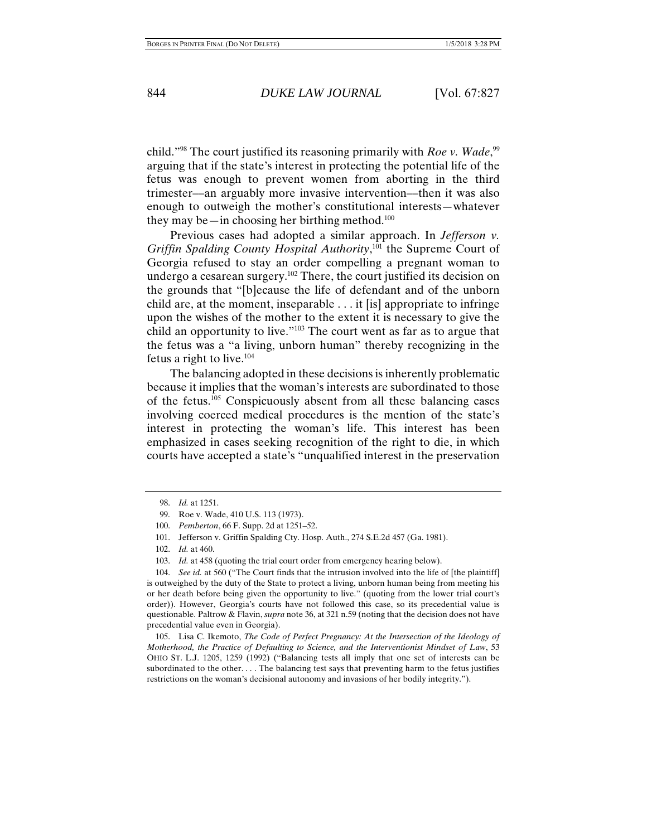child."98 The court justified its reasoning primarily with *Roe v. Wade*, 99 arguing that if the state's interest in protecting the potential life of the fetus was enough to prevent women from aborting in the third trimester––an arguably more invasive intervention––then it was also enough to outweigh the mother's constitutional interests—whatever they may be—in choosing her birthing method.<sup>100</sup>

Previous cases had adopted a similar approach. In *Jefferson v. Griffin Spalding County Hospital Authority*, 101 the Supreme Court of Georgia refused to stay an order compelling a pregnant woman to undergo a cesarean surgery.<sup>102</sup> There, the court justified its decision on the grounds that "[b]ecause the life of defendant and of the unborn child are, at the moment, inseparable . . . it [is] appropriate to infringe upon the wishes of the mother to the extent it is necessary to give the child an opportunity to live."103 The court went as far as to argue that the fetus was a "a living, unborn human" thereby recognizing in the fetus a right to live. $104$ 

The balancing adopted in these decisions is inherently problematic because it implies that the woman's interests are subordinated to those of the fetus.105 Conspicuously absent from all these balancing cases involving coerced medical procedures is the mention of the state's interest in protecting the woman's life. This interest has been emphasized in cases seeking recognition of the right to die, in which courts have accepted a state's "unqualified interest in the preservation

 104. *See id.* at 560 ("The Court finds that the intrusion involved into the life of [the plaintiff] is outweighed by the duty of the State to protect a living, unborn human being from meeting his or her death before being given the opportunity to live." (quoting from the lower trial court's order)). However, Georgia's courts have not followed this case, so its precedential value is questionable. Paltrow & Flavin, *supra* note 36, at 321 n.59 (noting that the decision does not have precedential value even in Georgia).

 105. Lisa C. Ikemoto, *The Code of Perfect Pregnancy: At the Intersection of the Ideology of Motherhood, the Practice of Defaulting to Science, and the Interventionist Mindset of Law*, 53 OHIO ST. L.J. 1205, 1259 (1992) ("Balancing tests all imply that one set of interests can be subordinated to the other. . . . The balancing test says that preventing harm to the fetus justifies restrictions on the woman's decisional autonomy and invasions of her bodily integrity.").

 <sup>98.</sup> *Id.* at 1251.

 <sup>99.</sup> Roe v. Wade, 410 U.S. 113 (1973).

 <sup>100.</sup> *Pemberton*, 66 F. Supp. 2d at 1251–52.

 <sup>101.</sup> Jefferson v. Griffin Spalding Cty. Hosp. Auth., 274 S.E.2d 457 (Ga. 1981).

 <sup>102.</sup> *Id.* at 460.

 <sup>103.</sup> *Id.* at 458 (quoting the trial court order from emergency hearing below).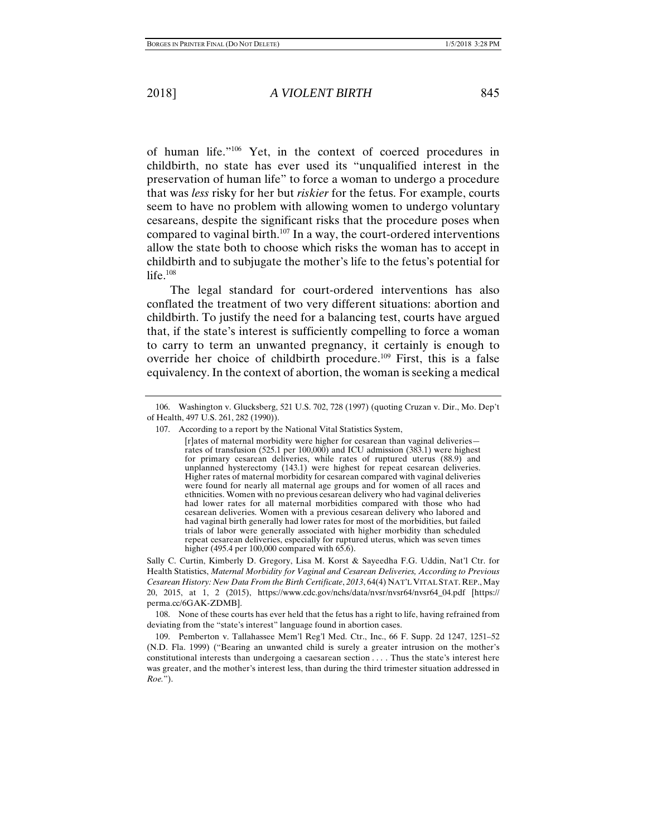of human life."106 Yet, in the context of coerced procedures in childbirth, no state has ever used its "unqualified interest in the preservation of human life" to force a woman to undergo a procedure that was *less* risky for her but *riskier* for the fetus. For example, courts seem to have no problem with allowing women to undergo voluntary cesareans, despite the significant risks that the procedure poses when compared to vaginal birth.107 In a way, the court-ordered interventions allow the state both to choose which risks the woman has to accept in childbirth and to subjugate the mother's life to the fetus's potential for life.<sup>108</sup>

The legal standard for court-ordered interventions has also conflated the treatment of two very different situations: abortion and childbirth. To justify the need for a balancing test, courts have argued that, if the state's interest is sufficiently compelling to force a woman to carry to term an unwanted pregnancy, it certainly is enough to override her choice of childbirth procedure.109 First, this is a false equivalency. In the context of abortion, the woman is seeking a medical

Sally C. Curtin, Kimberly D. Gregory, Lisa M. Korst & Sayeedha F.G. Uddin, Nat'l Ctr. for Health Statistics, *Maternal Morbidity for Vaginal and Cesarean Deliveries, According to Previous Cesarean History: New Data From the Birth Certificate*, *2013*, 64(4) NAT'L VITAL STAT. REP., May 20, 2015, at 1, 2 (2015), https://www.cdc.gov/nchs/data/nvsr/nvsr64/nvsr64\_04.pdf [https:// perma.cc/6GAK-ZDMB].

 108. None of these courts has ever held that the fetus has a right to life, having refrained from deviating from the "state's interest" language found in abortion cases.

 109. Pemberton v. Tallahassee Mem'l Reg'l Med. Ctr., Inc., 66 F. Supp. 2d 1247, 1251–52 (N.D. Fla. 1999) ("Bearing an unwanted child is surely a greater intrusion on the mother's constitutional interests than undergoing a caesarean section . . . . Thus the state's interest here was greater, and the mother's interest less, than during the third trimester situation addressed in *Roe.*").

 <sup>106.</sup> Washington v. Glucksberg, 521 U.S. 702, 728 (1997) (quoting Cruzan v. Dir., Mo. Dep't of Health, 497 U.S. 261, 282 (1990)).

 <sup>107.</sup> According to a report by the National Vital Statistics System,

<sup>[</sup>r]ates of maternal morbidity were higher for cesarean than vaginal deliveries rates of transfusion (525.1 per 100,000) and ICU admission (383.1) were highest for primary cesarean deliveries, while rates of ruptured uterus (88.9) and unplanned hysterectomy (143.1) were highest for repeat cesarean deliveries. Higher rates of maternal morbidity for cesarean compared with vaginal deliveries were found for nearly all maternal age groups and for women of all races and ethnicities. Women with no previous cesarean delivery who had vaginal deliveries had lower rates for all maternal morbidities compared with those who had cesarean deliveries. Women with a previous cesarean delivery who labored and had vaginal birth generally had lower rates for most of the morbidities, but failed trials of labor were generally associated with higher morbidity than scheduled repeat cesarean deliveries, especially for ruptured uterus, which was seven times higher (495.4 per 100,000 compared with 65.6).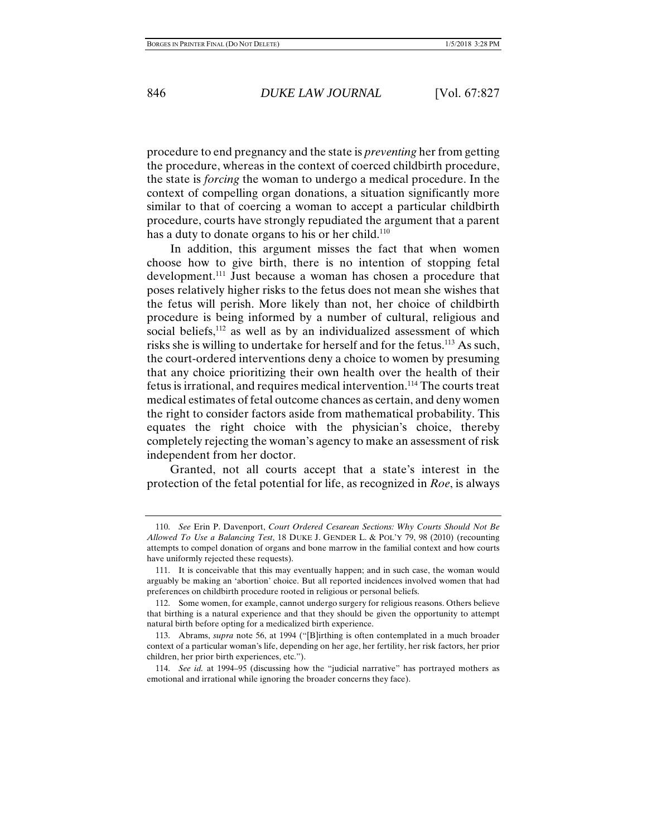procedure to end pregnancy and the state is *preventing* her from getting the procedure, whereas in the context of coerced childbirth procedure, the state is *forcing* the woman to undergo a medical procedure. In the context of compelling organ donations, a situation significantly more similar to that of coercing a woman to accept a particular childbirth procedure, courts have strongly repudiated the argument that a parent has a duty to donate organs to his or her child.<sup>110</sup>

In addition, this argument misses the fact that when women choose how to give birth, there is no intention of stopping fetal development.<sup>111</sup> Just because a woman has chosen a procedure that poses relatively higher risks to the fetus does not mean she wishes that the fetus will perish. More likely than not, her choice of childbirth procedure is being informed by a number of cultural, religious and social beliefs,<sup>112</sup> as well as by an individualized assessment of which risks she is willing to undertake for herself and for the fetus.<sup>113</sup> As such, the court-ordered interventions deny a choice to women by presuming that any choice prioritizing their own health over the health of their fetus is irrational, and requires medical intervention.114 The courts treat medical estimates of fetal outcome chances as certain, and deny women the right to consider factors aside from mathematical probability. This equates the right choice with the physician's choice, thereby completely rejecting the woman's agency to make an assessment of risk independent from her doctor.

Granted, not all courts accept that a state's interest in the protection of the fetal potential for life, as recognized in *Roe*, is always

 <sup>110.</sup> *See* Erin P. Davenport, *Court Ordered Cesarean Sections: Why Courts Should Not Be Allowed To Use a Balancing Test*, 18 DUKE J. GENDER L. & POL'Y 79, 98 (2010) (recounting attempts to compel donation of organs and bone marrow in the familial context and how courts have uniformly rejected these requests).

 <sup>111.</sup> It is conceivable that this may eventually happen; and in such case, the woman would arguably be making an 'abortion' choice. But all reported incidences involved women that had preferences on childbirth procedure rooted in religious or personal beliefs.

 <sup>112.</sup> Some women, for example, cannot undergo surgery for religious reasons. Others believe that birthing is a natural experience and that they should be given the opportunity to attempt natural birth before opting for a medicalized birth experience.

 <sup>113.</sup> Abrams, *supra* note 56, at 1994 ("[B]irthing is often contemplated in a much broader context of a particular woman's life, depending on her age, her fertility, her risk factors, her prior children, her prior birth experiences, etc.").

 <sup>114.</sup> *See id.* at 1994–95 (discussing how the "judicial narrative" has portrayed mothers as emotional and irrational while ignoring the broader concerns they face).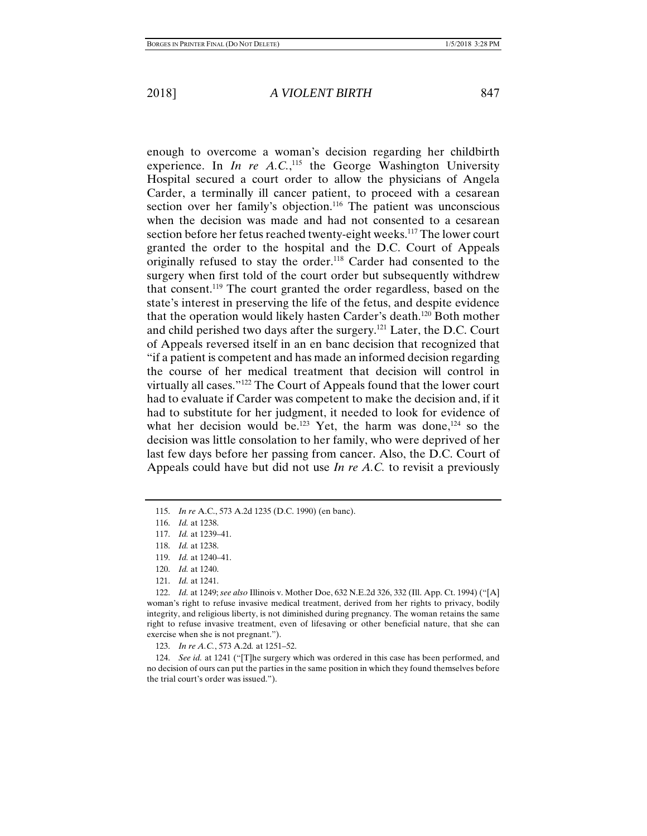enough to overcome a woman's decision regarding her childbirth experience. In  $In$  re  $A.C.<sup>115</sup>$  the George Washington University Hospital secured a court order to allow the physicians of Angela Carder, a terminally ill cancer patient, to proceed with a cesarean section over her family's objection.<sup>116</sup> The patient was unconscious when the decision was made and had not consented to a cesarean section before her fetus reached twenty-eight weeks.117 The lower court granted the order to the hospital and the D.C. Court of Appeals originally refused to stay the order.118 Carder had consented to the surgery when first told of the court order but subsequently withdrew that consent.119 The court granted the order regardless, based on the state's interest in preserving the life of the fetus, and despite evidence that the operation would likely hasten Carder's death.120 Both mother and child perished two days after the surgery.121 Later, the D.C. Court of Appeals reversed itself in an en banc decision that recognized that "if a patient is competent and has made an informed decision regarding the course of her medical treatment that decision will control in virtually all cases."122 The Court of Appeals found that the lower court had to evaluate if Carder was competent to make the decision and, if it had to substitute for her judgment, it needed to look for evidence of what her decision would be.<sup>123</sup> Yet, the harm was done,<sup>124</sup> so the decision was little consolation to her family, who were deprived of her last few days before her passing from cancer. Also, the D.C. Court of Appeals could have but did not use *In re A.C.* to revisit a previously

 122. *Id.* at 1249; *see also* Illinois v. Mother Doe, 632 N.E.2d 326, 332 (Ill. App. Ct. 1994) ("[A] woman's right to refuse invasive medical treatment, derived from her rights to privacy, bodily integrity, and religious liberty, is not diminished during pregnancy. The woman retains the same right to refuse invasive treatment, even of lifesaving or other beneficial nature, that she can exercise when she is not pregnant.").

123. *In re A.C.*, 573 A.2d*.* at 1251–52.

 124. *See id.* at 1241 ("[T]he surgery which was ordered in this case has been performed, and no decision of ours can put the parties in the same position in which they found themselves before the trial court's order was issued.").

 <sup>115.</sup> *In re* A.C., 573 A.2d 1235 (D.C. 1990) (en banc).

 <sup>116.</sup> *Id.* at 1238.

 <sup>117.</sup> *Id.* at 1239–41.

 <sup>118.</sup> *Id.* at 1238.

 <sup>119.</sup> *Id.* at 1240–41.

 <sup>120.</sup> *Id.* at 1240.

 <sup>121.</sup> *Id.* at 1241.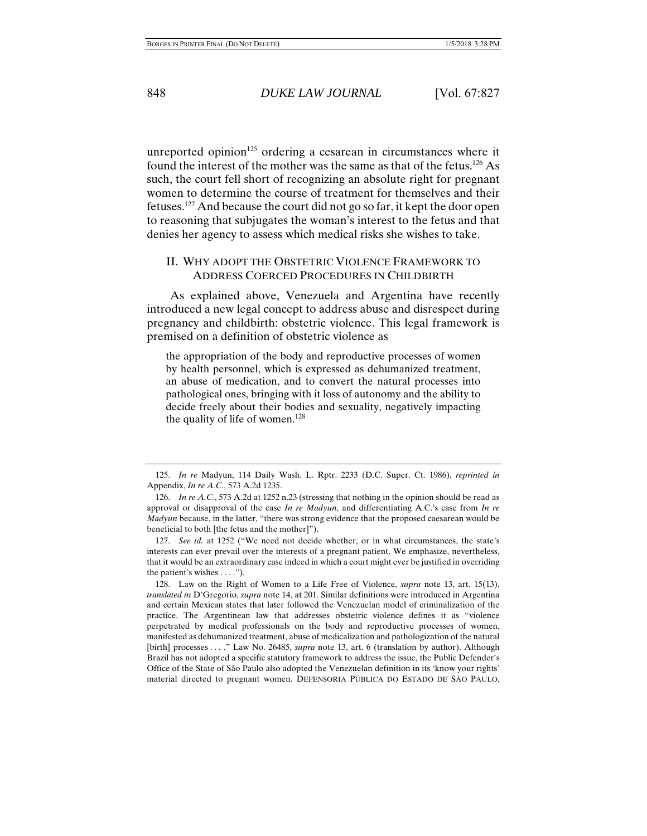unreported opinion<sup>125</sup> ordering a cesarean in circumstances where it found the interest of the mother was the same as that of the fetus.<sup>126</sup> As such, the court fell short of recognizing an absolute right for pregnant women to determine the course of treatment for themselves and their fetuses.127 And because the court did not go so far, it kept the door open to reasoning that subjugates the woman's interest to the fetus and that denies her agency to assess which medical risks she wishes to take.

#### II. WHY ADOPT THE OBSTETRIC VIOLENCE FRAMEWORK TO ADDRESS COERCED PROCEDURES IN CHILDBIRTH

As explained above, Venezuela and Argentina have recently introduced a new legal concept to address abuse and disrespect during pregnancy and childbirth: obstetric violence. This legal framework is premised on a definition of obstetric violence as

the appropriation of the body and reproductive processes of women by health personnel, which is expressed as dehumanized treatment, an abuse of medication, and to convert the natural processes into pathological ones, bringing with it loss of autonomy and the ability to decide freely about their bodies and sexuality, negatively impacting the quality of life of women.<sup>128</sup>

 <sup>125.</sup> *In re* Madyun, 114 Daily Wash. L. Rptr. 2233 (D.C. Super. Ct. 1986), *reprinted in* Appendix, *In re A.C.*, 573 A.2d 1235.

 <sup>126.</sup> *In re A.C.*, 573 A.2d at 1252 n.23 (stressing that nothing in the opinion should be read as approval or disapproval of the case *In re Madyun*, and differentiating A.C.'s case from *In re Madyun* because, in the latter, "there was strong evidence that the proposed caesarean would be beneficial to both [the fetus and the mother]").

 <sup>127.</sup> *See id.* at 1252 ("We need not decide whether, or in what circumstances, the state's interests can ever prevail over the interests of a pregnant patient. We emphasize, nevertheless, that it would be an extraordinary case indeed in which a court might ever be justified in overriding the patient's wishes . . . .").

 <sup>128.</sup> Law on the Right of Women to a Life Free of Violence, *supra* note 13, art. 15(13), *translated in* D'Gregorio, *supra* note 14, at 201. Similar definitions were introduced in Argentina and certain Mexican states that later followed the Venezuelan model of criminalization of the practice. The Argentinean law that addresses obstetric violence defines it as "violence perpetrated by medical professionals on the body and reproductive processes of women, manifested as dehumanized treatment, abuse of medicalization and pathologization of the natural [birth] processes . . . ." Law No. 26485, *supra* note 13, art. 6 (translation by author). Although Brazil has not adopted a specific statutory framework to address the issue, the Public Defender's Office of the State of São Paulo also adopted the Venezuelan definition in its 'know your rights' material directed to pregnant women. DEFENSORIA PÚBLICA DO ESTADO DE SÃO PAULO,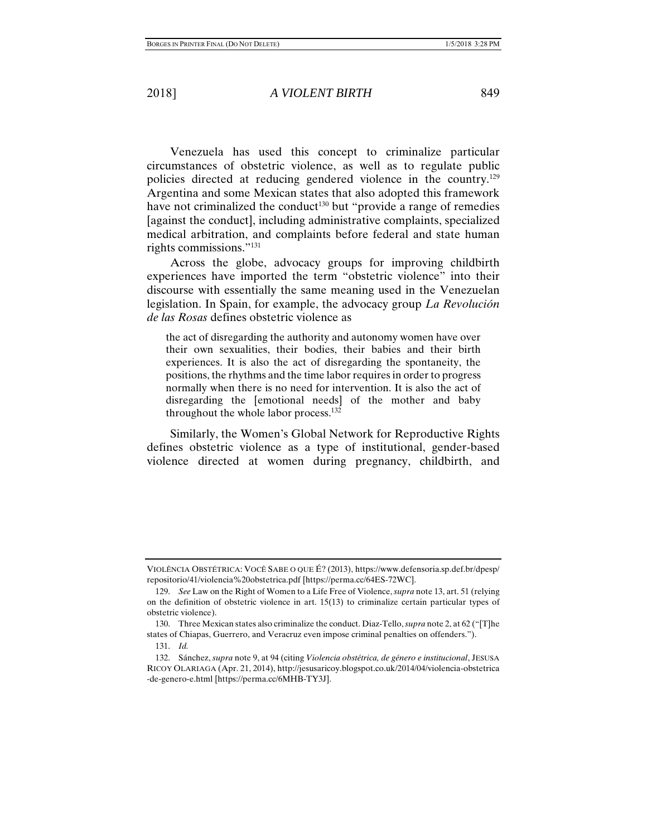Venezuela has used this concept to criminalize particular circumstances of obstetric violence, as well as to regulate public policies directed at reducing gendered violence in the country.129 Argentina and some Mexican states that also adopted this framework have not criminalized the conduct<sup>130</sup> but "provide a range of remedies [against the conduct], including administrative complaints, specialized medical arbitration, and complaints before federal and state human rights commissions."131

Across the globe, advocacy groups for improving childbirth experiences have imported the term "obstetric violence" into their discourse with essentially the same meaning used in the Venezuelan legislation. In Spain, for example, the advocacy group *La Revolución de las Rosas* defines obstetric violence as

the act of disregarding the authority and autonomy women have over their own sexualities, their bodies, their babies and their birth experiences. It is also the act of disregarding the spontaneity, the positions, the rhythms and the time labor requires in order to progress normally when there is no need for intervention. It is also the act of disregarding the [emotional needs] of the mother and baby throughout the whole labor process.<sup>132</sup>

Similarly, the Women's Global Network for Reproductive Rights defines obstetric violence as a type of institutional, gender-based violence directed at women during pregnancy, childbirth, and

VIOLÊNCIA OBSTÉTRICA: VOCÊ SABE O QUE É? (2013), https://www.defensoria.sp.def.br/dpesp/ repositorio/41/violencia%20obstetrica.pdf [https://perma.cc/64ES-72WC].

 <sup>129.</sup> *See* Law on the Right of Women to a Life Free of Violence, *supra* note 13, art. 51 (relying on the definition of obstetric violence in art. 15(13) to criminalize certain particular types of obstetric violence).

 <sup>130.</sup> Three Mexican states also criminalize the conduct. Diaz-Tello, *supra* note 2, at 62 ("[T]he states of Chiapas, Guerrero, and Veracruz even impose criminal penalties on offenders.").

 <sup>131.</sup> *Id.*

 <sup>132.</sup> Sánchez, *supra* note 9, at 94 (citing *Violencia obstétrica, de género e institucional*, JESUSA RICOY OLARIAGA (Apr. 21, 2014), http://jesusaricoy.blogspot.co.uk/2014/04/violencia-obstetrica -de-genero-e.html [https://perma.cc/6MHB-TY3J].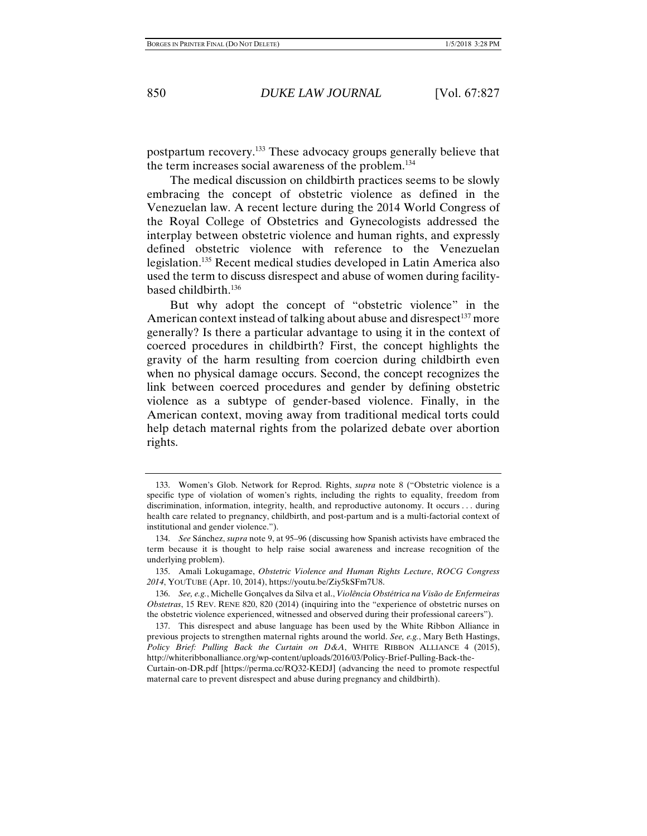postpartum recovery.133 These advocacy groups generally believe that the term increases social awareness of the problem.134

The medical discussion on childbirth practices seems to be slowly embracing the concept of obstetric violence as defined in the Venezuelan law. A recent lecture during the 2014 World Congress of the Royal College of Obstetrics and Gynecologists addressed the interplay between obstetric violence and human rights, and expressly defined obstetric violence with reference to the Venezuelan legislation.135 Recent medical studies developed in Latin America also used the term to discuss disrespect and abuse of women during facilitybased childbirth.136

But why adopt the concept of "obstetric violence" in the American context instead of talking about abuse and disrespect<sup>137</sup> more generally? Is there a particular advantage to using it in the context of coerced procedures in childbirth? First, the concept highlights the gravity of the harm resulting from coercion during childbirth even when no physical damage occurs. Second, the concept recognizes the link between coerced procedures and gender by defining obstetric violence as a subtype of gender-based violence. Finally, in the American context, moving away from traditional medical torts could help detach maternal rights from the polarized debate over abortion rights.

 <sup>133.</sup> Women's Glob. Network for Reprod. Rights, *supra* note 8 ("Obstetric violence is a specific type of violation of women's rights, including the rights to equality, freedom from discrimination, information, integrity, health, and reproductive autonomy. It occurs . . . during health care related to pregnancy, childbirth, and post-partum and is a multi-factorial context of institutional and gender violence.").

 <sup>134.</sup> *See* Sánchez, *supra* note 9, at 95–96 (discussing how Spanish activists have embraced the term because it is thought to help raise social awareness and increase recognition of the underlying problem).

 <sup>135.</sup> Amali Lokugamage, *Obstetric Violence and Human Rights Lecture*, *ROCG Congress 2014*, YOUTUBE (Apr. 10, 2014), https://youtu.be/Ziy5kSFm7U8.

 <sup>136.</sup> *See, e.g.*, Michelle Gonçalves da Silva et al., *Violência Obstétrica na Visão de Enfermeiras Obstetras*, 15 REV. RENE 820, 820 (2014) (inquiring into the "experience of obstetric nurses on the obstetric violence experienced, witnessed and observed during their professional careers").

 <sup>137.</sup> This disrespect and abuse language has been used by the White Ribbon Alliance in previous projects to strengthen maternal rights around the world. *See, e.g.*, Mary Beth Hastings, *Policy Brief: Pulling Back the Curtain on D&A*, WHITE RIBBON ALLIANCE 4 (2015), http://whiteribbonalliance.org/wp-content/uploads/2016/03/Policy-Brief-Pulling-Back-the-Curtain-on-DR.pdf [https://perma.cc/RQ32-KEDJ] (advancing the need to promote respectful maternal care to prevent disrespect and abuse during pregnancy and childbirth).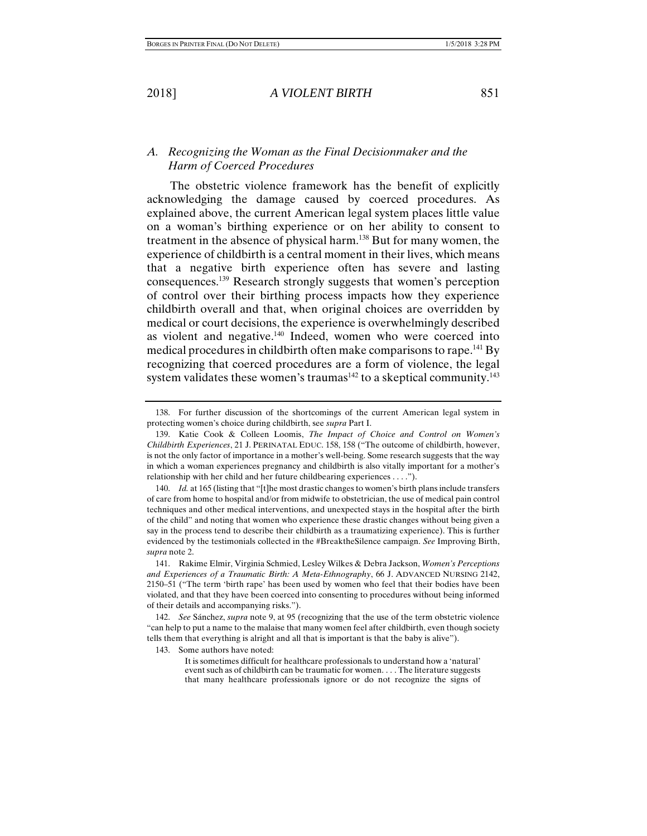### *A. Recognizing the Woman as the Final Decisionmaker and the Harm of Coerced Procedures*

The obstetric violence framework has the benefit of explicitly acknowledging the damage caused by coerced procedures. As explained above, the current American legal system places little value on a woman's birthing experience or on her ability to consent to treatment in the absence of physical harm.138 But for many women, the experience of childbirth is a central moment in their lives, which means that a negative birth experience often has severe and lasting consequences.139 Research strongly suggests that women's perception of control over their birthing process impacts how they experience childbirth overall and that, when original choices are overridden by medical or court decisions, the experience is overwhelmingly described as violent and negative.<sup>140</sup> Indeed, women who were coerced into medical procedures in childbirth often make comparisons to rape.<sup>141</sup> By recognizing that coerced procedures are a form of violence, the legal system validates these women's traumas $142$  to a skeptical community.<sup>143</sup>

143. Some authors have noted:

It is sometimes difficult for healthcare professionals to understand how a 'natural' event such as of childbirth can be traumatic for women. . . . The literature suggests that many healthcare professionals ignore or do not recognize the signs of

 <sup>138.</sup> For further discussion of the shortcomings of the current American legal system in protecting women's choice during childbirth, see *supra* Part I.

 <sup>139.</sup> Katie Cook & Colleen Loomis, *The Impact of Choice and Control on Women's Childbirth Experiences*, 21 J. PERINATAL EDUC. 158, 158 ("The outcome of childbirth, however, is not the only factor of importance in a mother's well-being. Some research suggests that the way in which a woman experiences pregnancy and childbirth is also vitally important for a mother's relationship with her child and her future childbearing experiences . . . .").

 <sup>140.</sup> *Id.* at 165 (listing that "[t]he most drastic changes to women's birth plans include transfers of care from home to hospital and/or from midwife to obstetrician, the use of medical pain control techniques and other medical interventions, and unexpected stays in the hospital after the birth of the child" and noting that women who experience these drastic changes without being given a say in the process tend to describe their childbirth as a traumatizing experience). This is further evidenced by the testimonials collected in the #BreaktheSilence campaign. *See* Improving Birth, *supra* note 2.

 <sup>141.</sup> Rakime Elmir, Virginia Schmied, Lesley Wilkes & Debra Jackson, *Women's Perceptions and Experiences of a Traumatic Birth: A Meta-Ethnography*, 66 J. ADVANCED NURSING 2142, 2150–51 ("The term 'birth rape' has been used by women who feel that their bodies have been violated, and that they have been coerced into consenting to procedures without being informed of their details and accompanying risks.").

 <sup>142.</sup> *See* Sánchez, *supra* note 9, at 95 (recognizing that the use of the term obstetric violence "can help to put a name to the malaise that many women feel after childbirth, even though society tells them that everything is alright and all that is important is that the baby is alive").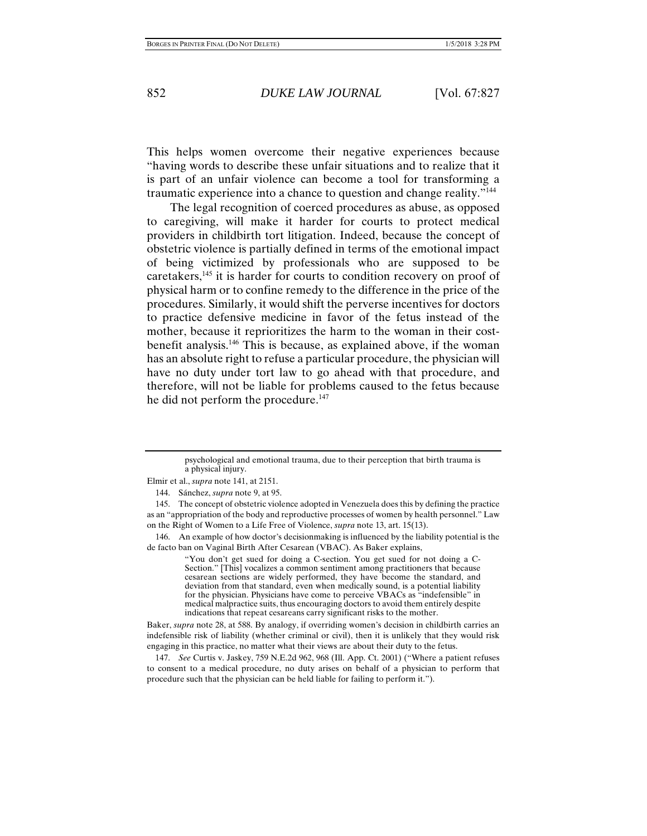This helps women overcome their negative experiences because "having words to describe these unfair situations and to realize that it is part of an unfair violence can become a tool for transforming a traumatic experience into a chance to question and change reality."144

The legal recognition of coerced procedures as abuse, as opposed to caregiving, will make it harder for courts to protect medical providers in childbirth tort litigation. Indeed, because the concept of obstetric violence is partially defined in terms of the emotional impact of being victimized by professionals who are supposed to be caretakers,<sup>145</sup> it is harder for courts to condition recovery on proof of physical harm or to confine remedy to the difference in the price of the procedures. Similarly, it would shift the perverse incentives for doctors to practice defensive medicine in favor of the fetus instead of the mother, because it reprioritizes the harm to the woman in their costbenefit analysis.146 This is because, as explained above, if the woman has an absolute right to refuse a particular procedure, the physician will have no duty under tort law to go ahead with that procedure, and therefore, will not be liable for problems caused to the fetus because he did not perform the procedure.<sup>147</sup>

> psychological and emotional trauma, due to their perception that birth trauma is a physical injury.

Elmir et al., *supra* note 141, at 2151.

144. Sánchez, *supra* note 9, at 95.

 145. The concept of obstetric violence adopted in Venezuela does this by defining the practice as an "appropriation of the body and reproductive processes of women by health personnel." Law on the Right of Women to a Life Free of Violence, *supra* note 13, art. 15(13).

 146. An example of how doctor's decisionmaking is influenced by the liability potential is the de facto ban on Vaginal Birth After Cesarean (VBAC). As Baker explains,

> "You don't get sued for doing a C-section. You get sued for not doing a C-Section." [This] vocalizes a common sentiment among practitioners that because cesarean sections are widely performed, they have become the standard, and deviation from that standard, even when medically sound, is a potential liability for the physician. Physicians have come to perceive VBACs as "indefensible" in medical malpractice suits, thus encouraging doctors to avoid them entirely despite indications that repeat cesareans carry significant risks to the mother.

Baker, *supra* note 28, at 588. By analogy, if overriding women's decision in childbirth carries an indefensible risk of liability (whether criminal or civil), then it is unlikely that they would risk engaging in this practice, no matter what their views are about their duty to the fetus.

 147. *See* Curtis v. Jaskey, 759 N.E.2d 962, 968 (Ill. App. Ct. 2001) ("Where a patient refuses to consent to a medical procedure, no duty arises on behalf of a physician to perform that procedure such that the physician can be held liable for failing to perform it.").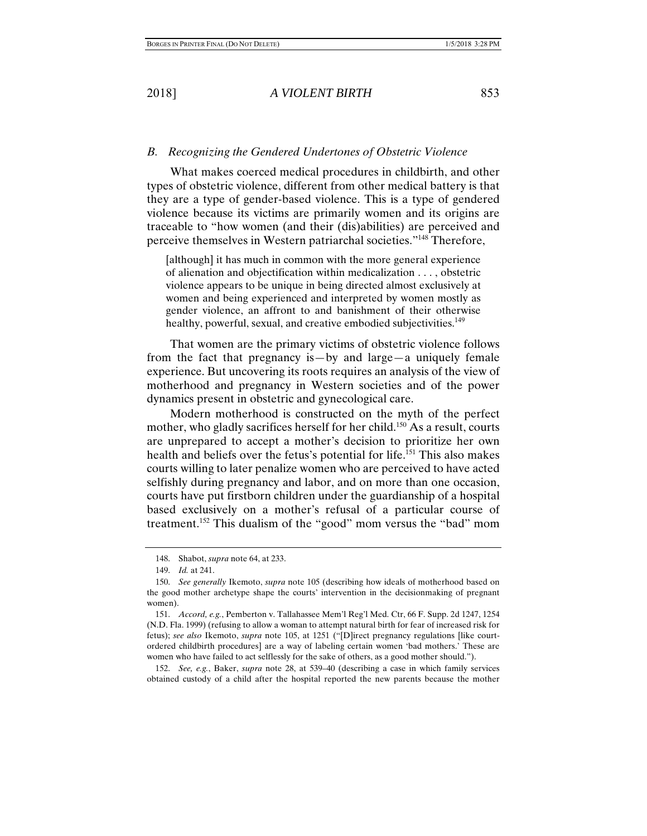#### *B. Recognizing the Gendered Undertones of Obstetric Violence*

What makes coerced medical procedures in childbirth, and other types of obstetric violence, different from other medical battery is that they are a type of gender-based violence. This is a type of gendered violence because its victims are primarily women and its origins are traceable to "how women (and their (dis)abilities) are perceived and perceive themselves in Western patriarchal societies."148 Therefore,

[although] it has much in common with the more general experience of alienation and objectification within medicalization . . . , obstetric violence appears to be unique in being directed almost exclusively at women and being experienced and interpreted by women mostly as gender violence, an affront to and banishment of their otherwise healthy, powerful, sexual, and creative embodied subjectivities.<sup>149</sup>

That women are the primary victims of obstetric violence follows from the fact that pregnancy is—by and large—a uniquely female experience. But uncovering its roots requires an analysis of the view of motherhood and pregnancy in Western societies and of the power dynamics present in obstetric and gynecological care.

Modern motherhood is constructed on the myth of the perfect mother, who gladly sacrifices herself for her child.<sup>150</sup> As a result, courts are unprepared to accept a mother's decision to prioritize her own health and beliefs over the fetus's potential for life.<sup>151</sup> This also makes courts willing to later penalize women who are perceived to have acted selfishly during pregnancy and labor, and on more than one occasion, courts have put firstborn children under the guardianship of a hospital based exclusively on a mother's refusal of a particular course of treatment.<sup>152</sup> This dualism of the "good" mom versus the "bad" mom

 <sup>148.</sup> Shabot, *supra* note 64, at 233.

 <sup>149.</sup> *Id.* at 241.

 <sup>150.</sup> *See generally* Ikemoto, *supra* note 105 (describing how ideals of motherhood based on the good mother archetype shape the courts' intervention in the decisionmaking of pregnant women).

 <sup>151.</sup> *Accord, e.g.*, Pemberton v. Tallahassee Mem'l Reg'l Med. Ctr, 66 F. Supp. 2d 1247, 1254 (N.D. Fla. 1999) (refusing to allow a woman to attempt natural birth for fear of increased risk for fetus); *see also* Ikemoto, *supra* note 105, at 1251 ("[D]irect pregnancy regulations [like courtordered childbirth procedures] are a way of labeling certain women 'bad mothers.' These are women who have failed to act selflessly for the sake of others, as a good mother should.").

 <sup>152.</sup> *See, e.g.*, Baker, *supra* note 28, at 539–40 (describing a case in which family services obtained custody of a child after the hospital reported the new parents because the mother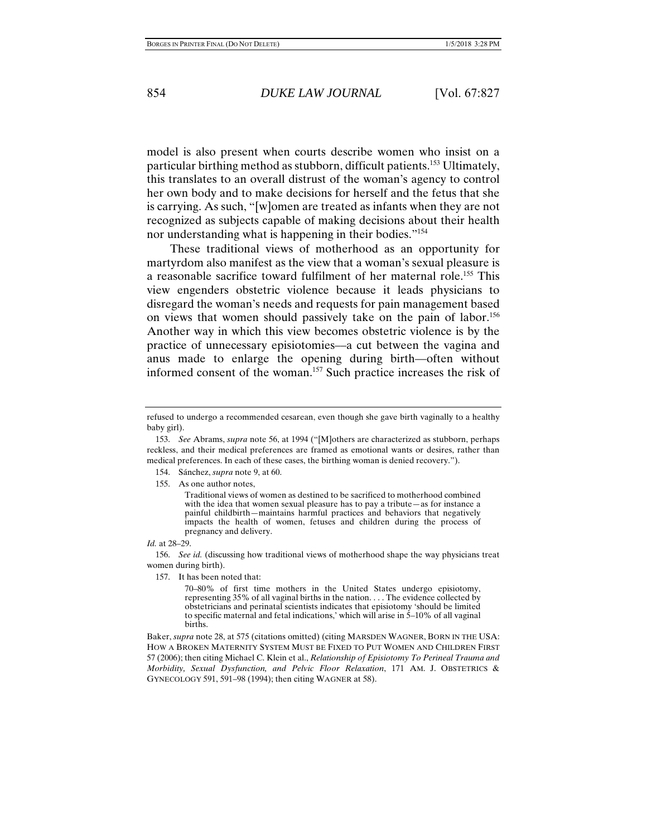model is also present when courts describe women who insist on a particular birthing method as stubborn, difficult patients.153 Ultimately, this translates to an overall distrust of the woman's agency to control her own body and to make decisions for herself and the fetus that she is carrying. As such, "[w]omen are treated as infants when they are not recognized as subjects capable of making decisions about their health nor understanding what is happening in their bodies."<sup>154</sup>

These traditional views of motherhood as an opportunity for martyrdom also manifest as the view that a woman's sexual pleasure is a reasonable sacrifice toward fulfilment of her maternal role.155 This view engenders obstetric violence because it leads physicians to disregard the woman's needs and requests for pain management based on views that women should passively take on the pain of labor.<sup>156</sup> Another way in which this view becomes obstetric violence is by the practice of unnecessary episiotomies––a cut between the vagina and anus made to enlarge the opening during birth––often without informed consent of the woman.157 Such practice increases the risk of

- 154. Sánchez, *supra* note 9, at 60.
- 155. As one author notes,

Traditional views of women as destined to be sacrificed to motherhood combined with the idea that women sexual pleasure has to pay a tribute—as for instance a painful childbirth—maintains harmful practices and behaviors that negatively impacts the health of women, fetuses and children during the process of pregnancy and delivery.

#### *Id.* at 28–29.

 156. *See id.* (discussing how traditional views of motherhood shape the way physicians treat women during birth).

157. It has been noted that:

70–80% of first time mothers in the United States undergo episiotomy, representing 35% of all vaginal births in the nation. . . . The evidence collected by obstetricians and perinatal scientists indicates that episiotomy 'should be limited to specific maternal and fetal indications,' which will arise in  $5-10\%$  of all vaginal births.

Baker, *supra* note 28, at 575 (citations omitted) (citing MARSDEN WAGNER, BORN IN THE USA: HOW A BROKEN MATERNITY SYSTEM MUST BE FIXED TO PUT WOMEN AND CHILDREN FIRST 57 (2006); then citing Michael C. Klein et al., *Relationship of Episiotomy To Perineal Trauma and Morbidity, Sexual Dysfunction, and Pelvic Floor Relaxation*, 171 AM. J. OBSTETRICS & GYNECOLOGY 591, 591–98 (1994); then citing WAGNER at 58).

refused to undergo a recommended cesarean, even though she gave birth vaginally to a healthy baby girl).

 <sup>153.</sup> *See* Abrams, *supra* note 56, at 1994 ("[M]others are characterized as stubborn, perhaps reckless, and their medical preferences are framed as emotional wants or desires, rather than medical preferences. In each of these cases, the birthing woman is denied recovery.").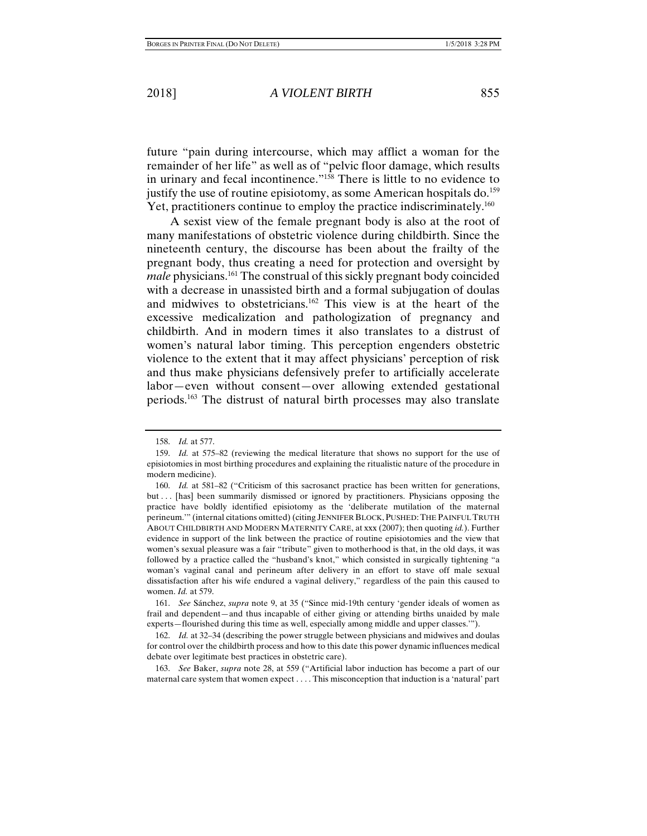future "pain during intercourse, which may afflict a woman for the remainder of her life" as well as of "pelvic floor damage, which results in urinary and fecal incontinence."158 There is little to no evidence to justify the use of routine episiotomy, as some American hospitals do.<sup>159</sup> Yet, practitioners continue to employ the practice indiscriminately.<sup>160</sup>

A sexist view of the female pregnant body is also at the root of many manifestations of obstetric violence during childbirth. Since the nineteenth century, the discourse has been about the frailty of the pregnant body, thus creating a need for protection and oversight by *male* physicians.<sup>161</sup> The construal of this sickly pregnant body coincided with a decrease in unassisted birth and a formal subjugation of doulas and midwives to obstetricians.162 This view is at the heart of the excessive medicalization and pathologization of pregnancy and childbirth. And in modern times it also translates to a distrust of women's natural labor timing. This perception engenders obstetric violence to the extent that it may affect physicians' perception of risk and thus make physicians defensively prefer to artificially accelerate labor—even without consent—over allowing extended gestational periods.163 The distrust of natural birth processes may also translate

 <sup>158.</sup> *Id.* at 577.

 <sup>159.</sup> *Id.* at 575–82 (reviewing the medical literature that shows no support for the use of episiotomies in most birthing procedures and explaining the ritualistic nature of the procedure in modern medicine).

 <sup>160.</sup> *Id.* at 581–82 ("Criticism of this sacrosanct practice has been written for generations, but . . . [has] been summarily dismissed or ignored by practitioners. Physicians opposing the practice have boldly identified episiotomy as the 'deliberate mutilation of the maternal perineum.'" (internal citations omitted) (citing JENNIFER BLOCK, PUSHED:THE PAINFUL TRUTH ABOUT CHILDBIRTH AND MODERN MATERNITY CARE, at xxx (2007); then quoting *id.*). Further evidence in support of the link between the practice of routine episiotomies and the view that women's sexual pleasure was a fair "tribute" given to motherhood is that, in the old days, it was followed by a practice called the "husband's knot," which consisted in surgically tightening "a woman's vaginal canal and perineum after delivery in an effort to stave off male sexual dissatisfaction after his wife endured a vaginal delivery," regardless of the pain this caused to women. *Id.* at 579.

 <sup>161.</sup> *See* Sánchez, *supra* note 9, at 35 ("Since mid-19th century 'gender ideals of women as frail and dependent—and thus incapable of either giving or attending births unaided by male experts—flourished during this time as well, especially among middle and upper classes.'").

 <sup>162.</sup> *Id.* at 32–34 (describing the power struggle between physicians and midwives and doulas for control over the childbirth process and how to this date this power dynamic influences medical debate over legitimate best practices in obstetric care).

 <sup>163.</sup> *See* Baker, *supra* note 28, at 559 ("Artificial labor induction has become a part of our maternal care system that women expect . . . . This misconception that induction is a 'natural' part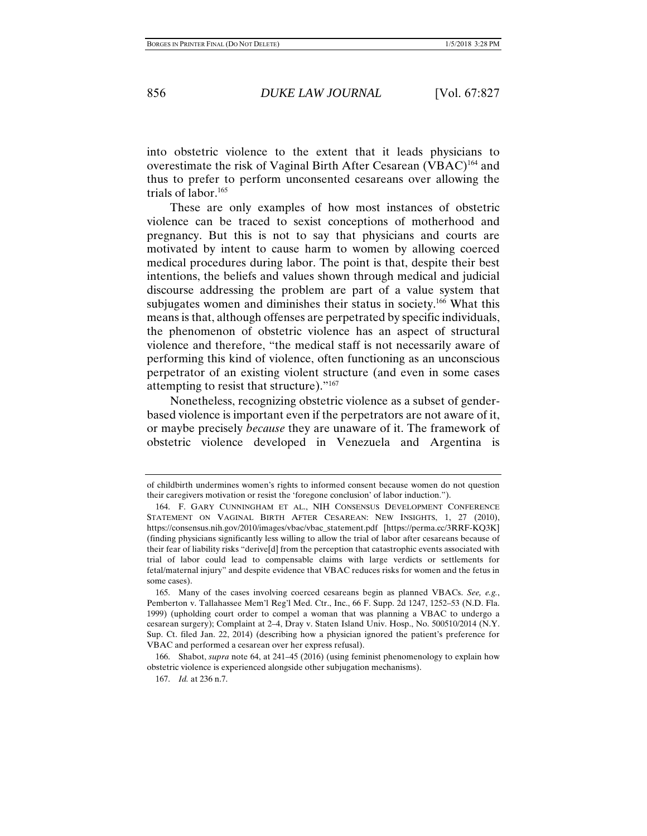into obstetric violence to the extent that it leads physicians to overestimate the risk of Vaginal Birth After Cesarean (VBAC)<sup>164</sup> and thus to prefer to perform unconsented cesareans over allowing the trials of labor.<sup>165</sup>

These are only examples of how most instances of obstetric violence can be traced to sexist conceptions of motherhood and pregnancy. But this is not to say that physicians and courts are motivated by intent to cause harm to women by allowing coerced medical procedures during labor. The point is that, despite their best intentions, the beliefs and values shown through medical and judicial discourse addressing the problem are part of a value system that subjugates women and diminishes their status in society.<sup>166</sup> What this means is that, although offenses are perpetrated by specific individuals, the phenomenon of obstetric violence has an aspect of structural violence and therefore, "the medical staff is not necessarily aware of performing this kind of violence, often functioning as an unconscious perpetrator of an existing violent structure (and even in some cases attempting to resist that structure)."167

Nonetheless, recognizing obstetric violence as a subset of genderbased violence is important even if the perpetrators are not aware of it, or maybe precisely *because* they are unaware of it. The framework of obstetric violence developed in Venezuela and Argentina is

of childbirth undermines women's rights to informed consent because women do not question their caregivers motivation or resist the 'foregone conclusion' of labor induction.").

 <sup>164.</sup> F. GARY CUNNINGHAM ET AL., NIH CONSENSUS DEVELOPMENT CONFERENCE STATEMENT ON VAGINAL BIRTH AFTER CESAREAN: NEW INSIGHTS, 1, 27 (2010), https://consensus.nih.gov/2010/images/vbac/vbac\_statement.pdf [https://perma.cc/3RRF-KQ3K] (finding physicians significantly less willing to allow the trial of labor after cesareans because of their fear of liability risks "derive[d] from the perception that catastrophic events associated with trial of labor could lead to compensable claims with large verdicts or settlements for fetal/maternal injury" and despite evidence that VBAC reduces risks for women and the fetus in some cases).

 <sup>165.</sup> Many of the cases involving coerced cesareans begin as planned VBACs. *See, e.g.*, Pemberton v. Tallahassee Mem'l Reg'l Med. Ctr., Inc., 66 F. Supp. 2d 1247, 1252–53 (N.D. Fla. 1999) (upholding court order to compel a woman that was planning a VBAC to undergo a cesarean surgery); Complaint at 2–4, Dray v. Staten Island Univ. Hosp., No. 500510/2014 (N.Y. Sup. Ct. filed Jan. 22, 2014) (describing how a physician ignored the patient's preference for VBAC and performed a cesarean over her express refusal).

 <sup>166.</sup> Shabot, *supra* note 64, at 241–45 (2016) (using feminist phenomenology to explain how obstetric violence is experienced alongside other subjugation mechanisms).

 <sup>167.</sup> *Id.* at 236 n.7.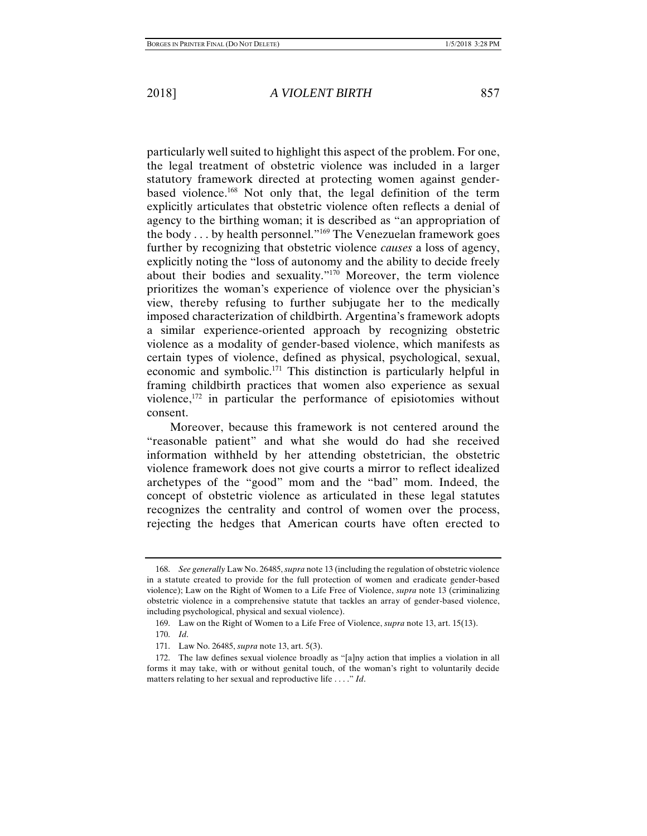particularly well suited to highlight this aspect of the problem. For one, the legal treatment of obstetric violence was included in a larger statutory framework directed at protecting women against genderbased violence.168 Not only that, the legal definition of the term explicitly articulates that obstetric violence often reflects a denial of agency to the birthing woman; it is described as "an appropriation of the body . . . by health personnel."169 The Venezuelan framework goes further by recognizing that obstetric violence *causes* a loss of agency, explicitly noting the "loss of autonomy and the ability to decide freely about their bodies and sexuality."170 Moreover, the term violence prioritizes the woman's experience of violence over the physician's view, thereby refusing to further subjugate her to the medically imposed characterization of childbirth. Argentina's framework adopts a similar experience-oriented approach by recognizing obstetric violence as a modality of gender-based violence, which manifests as certain types of violence, defined as physical, psychological, sexual, economic and symbolic.171 This distinction is particularly helpful in framing childbirth practices that women also experience as sexual violence,<sup>172</sup> in particular the performance of episiotomies without consent.

Moreover, because this framework is not centered around the "reasonable patient" and what she would do had she received information withheld by her attending obstetrician, the obstetric violence framework does not give courts a mirror to reflect idealized archetypes of the "good" mom and the "bad" mom. Indeed, the concept of obstetric violence as articulated in these legal statutes recognizes the centrality and control of women over the process, rejecting the hedges that American courts have often erected to

 <sup>168.</sup> *See generally* Law No. 26485, *supra* note 13 (including the regulation of obstetric violence in a statute created to provide for the full protection of women and eradicate gender-based violence); Law on the Right of Women to a Life Free of Violence, *supra* note 13 (criminalizing obstetric violence in a comprehensive statute that tackles an array of gender-based violence, including psychological, physical and sexual violence).

 <sup>169.</sup> Law on the Right of Women to a Life Free of Violence, *supra* note 13, art. 15(13).

 <sup>170.</sup> *Id*.

 <sup>171.</sup> Law No. 26485, *supra* note 13, art. 5(3).

 <sup>172.</sup> The law defines sexual violence broadly as "[a]ny action that implies a violation in all forms it may take, with or without genital touch, of the woman's right to voluntarily decide matters relating to her sexual and reproductive life . . . ." *Id*.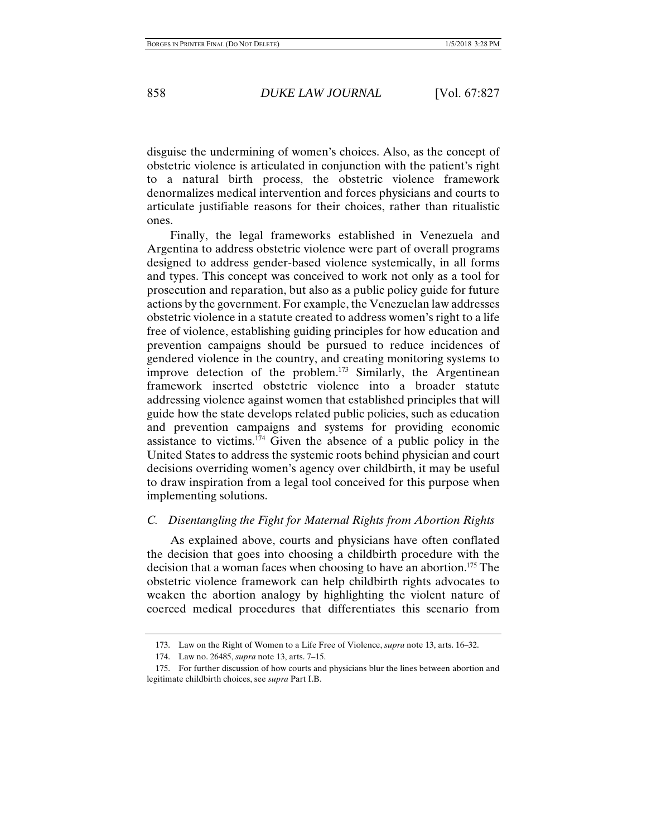disguise the undermining of women's choices. Also, as the concept of obstetric violence is articulated in conjunction with the patient's right to a natural birth process, the obstetric violence framework denormalizes medical intervention and forces physicians and courts to articulate justifiable reasons for their choices, rather than ritualistic ones.

Finally, the legal frameworks established in Venezuela and Argentina to address obstetric violence were part of overall programs designed to address gender-based violence systemically, in all forms and types. This concept was conceived to work not only as a tool for prosecution and reparation, but also as a public policy guide for future actions by the government. For example, the Venezuelan law addresses obstetric violence in a statute created to address women's right to a life free of violence, establishing guiding principles for how education and prevention campaigns should be pursued to reduce incidences of gendered violence in the country, and creating monitoring systems to improve detection of the problem.<sup>173</sup> Similarly, the Argentinean framework inserted obstetric violence into a broader statute addressing violence against women that established principles that will guide how the state develops related public policies, such as education and prevention campaigns and systems for providing economic assistance to victims. $174$  Given the absence of a public policy in the United States to address the systemic roots behind physician and court decisions overriding women's agency over childbirth, it may be useful to draw inspiration from a legal tool conceived for this purpose when implementing solutions.

### *C. Disentangling the Fight for Maternal Rights from Abortion Rights*

As explained above, courts and physicians have often conflated the decision that goes into choosing a childbirth procedure with the decision that a woman faces when choosing to have an abortion.<sup>175</sup> The obstetric violence framework can help childbirth rights advocates to weaken the abortion analogy by highlighting the violent nature of coerced medical procedures that differentiates this scenario from

 <sup>173.</sup> Law on the Right of Women to a Life Free of Violence, *supra* note 13, arts. 16–32.

 <sup>174.</sup> Law no. 26485, *supra* note 13, arts. 7–15.

 <sup>175.</sup> For further discussion of how courts and physicians blur the lines between abortion and legitimate childbirth choices, see *supra* Part I.B.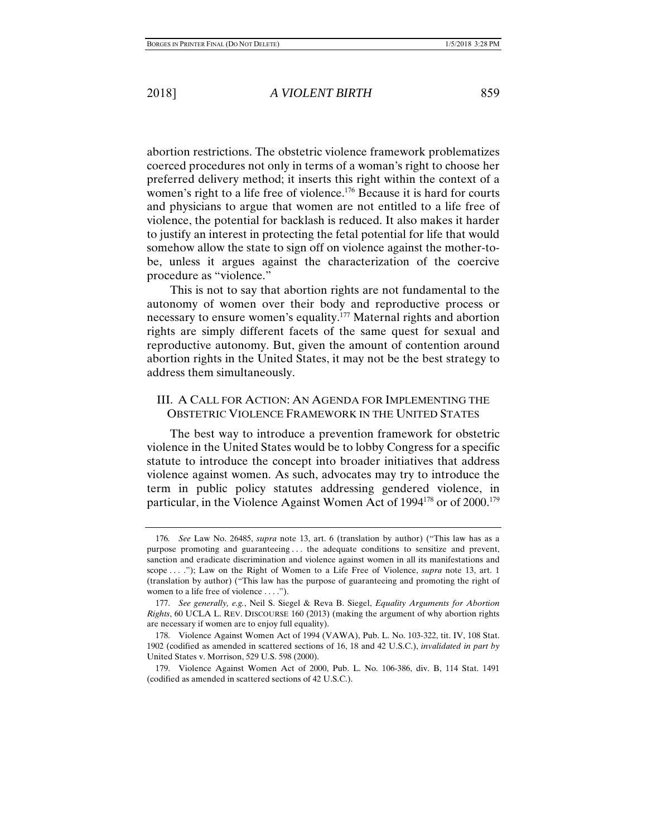abortion restrictions. The obstetric violence framework problematizes coerced procedures not only in terms of a woman's right to choose her preferred delivery method; it inserts this right within the context of a women's right to a life free of violence.<sup>176</sup> Because it is hard for courts and physicians to argue that women are not entitled to a life free of violence, the potential for backlash is reduced. It also makes it harder to justify an interest in protecting the fetal potential for life that would somehow allow the state to sign off on violence against the mother-tobe, unless it argues against the characterization of the coercive procedure as "violence."

This is not to say that abortion rights are not fundamental to the autonomy of women over their body and reproductive process or necessary to ensure women's equality.177 Maternal rights and abortion rights are simply different facets of the same quest for sexual and reproductive autonomy. But, given the amount of contention around abortion rights in the United States, it may not be the best strategy to address them simultaneously.

#### III. A CALL FOR ACTION: AN AGENDA FOR IMPLEMENTING THE OBSTETRIC VIOLENCE FRAMEWORK IN THE UNITED STATES

The best way to introduce a prevention framework for obstetric violence in the United States would be to lobby Congress for a specific statute to introduce the concept into broader initiatives that address violence against women. As such, advocates may try to introduce the term in public policy statutes addressing gendered violence, in particular, in the Violence Against Women Act of 1994<sup>178</sup> or of 2000.<sup>179</sup>

<sup>176</sup>*. See* Law No. 26485, *supra* note 13, art. 6 (translation by author) ("This law has as a purpose promoting and guaranteeing . . . the adequate conditions to sensitize and prevent, sanction and eradicate discrimination and violence against women in all its manifestations and scope . . . ."); Law on the Right of Women to a Life Free of Violence, *supra* note 13, art. 1 (translation by author) ("This law has the purpose of guaranteeing and promoting the right of women to a life free of violence . . . .").

 <sup>177.</sup> *See generally, e.g.*, Neil S. Siegel & Reva B. Siegel, *Equality Arguments for Abortion Rights*, 60 UCLA L. REV. DISCOURSE 160 (2013) (making the argument of why abortion rights are necessary if women are to enjoy full equality).

 <sup>178.</sup> Violence Against Women Act of 1994 (VAWA), Pub. L. No. 103-322, tit. IV, 108 Stat. 1902 (codified as amended in scattered sections of 16, 18 and 42 U.S.C.), *invalidated in part by* United States v. Morrison, 529 U.S. 598 (2000).

 <sup>179.</sup> Violence Against Women Act of 2000, Pub. L. No. 106-386, div. B, 114 Stat. 1491 (codified as amended in scattered sections of 42 U.S.C.).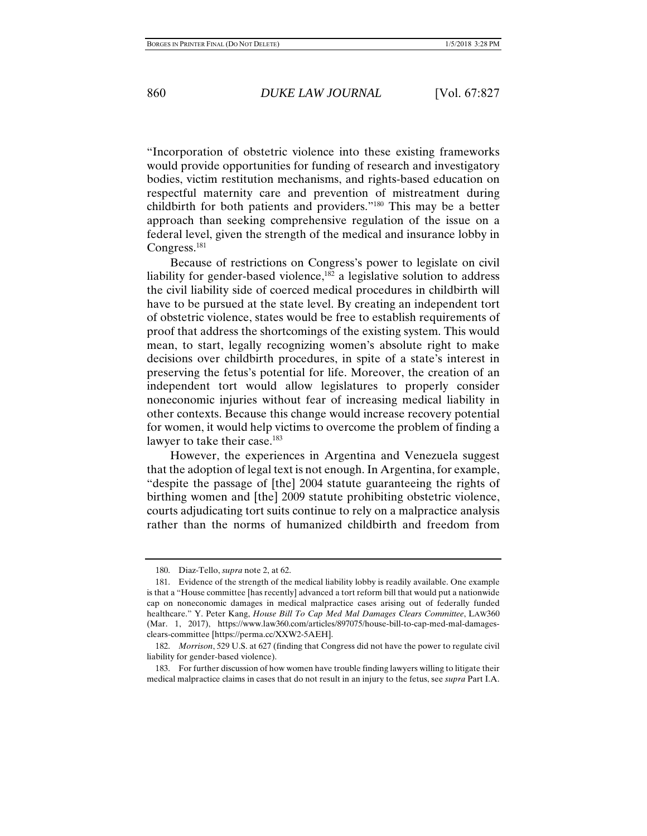"Incorporation of obstetric violence into these existing frameworks would provide opportunities for funding of research and investigatory bodies, victim restitution mechanisms, and rights-based education on respectful maternity care and prevention of mistreatment during childbirth for both patients and providers."180 This may be a better approach than seeking comprehensive regulation of the issue on a federal level, given the strength of the medical and insurance lobby in Congress.<sup>181</sup>

Because of restrictions on Congress's power to legislate on civil liability for gender-based violence, $182$  a legislative solution to address the civil liability side of coerced medical procedures in childbirth will have to be pursued at the state level. By creating an independent tort of obstetric violence, states would be free to establish requirements of proof that address the shortcomings of the existing system. This would mean, to start, legally recognizing women's absolute right to make decisions over childbirth procedures, in spite of a state's interest in preserving the fetus's potential for life. Moreover, the creation of an independent tort would allow legislatures to properly consider noneconomic injuries without fear of increasing medical liability in other contexts. Because this change would increase recovery potential for women, it would help victims to overcome the problem of finding a lawyer to take their case.<sup>183</sup>

However, the experiences in Argentina and Venezuela suggest that the adoption of legal text is not enough. In Argentina, for example, "despite the passage of [the] 2004 statute guaranteeing the rights of birthing women and [the] 2009 statute prohibiting obstetric violence, courts adjudicating tort suits continue to rely on a malpractice analysis rather than the norms of humanized childbirth and freedom from

 <sup>180.</sup> Diaz-Tello, *supra* note 2, at 62.

 <sup>181.</sup> Evidence of the strength of the medical liability lobby is readily available. One example is that a "House committee [has recently] advanced a tort reform bill that would put a nationwide cap on noneconomic damages in medical malpractice cases arising out of federally funded healthcare." Y. Peter Kang, *House Bill To Cap Med Mal Damages Clears Committee*, LAW360 (Mar. 1, 2017), https://www.law360.com/articles/897075/house-bill-to-cap-med-mal-damagesclears-committee [https://perma.cc/XXW2-5AEH].

 <sup>182.</sup> *Morrison*, 529 U.S. at 627 (finding that Congress did not have the power to regulate civil liability for gender-based violence).

 <sup>183.</sup> For further discussion of how women have trouble finding lawyers willing to litigate their medical malpractice claims in cases that do not result in an injury to the fetus, see *supra* Part I.A.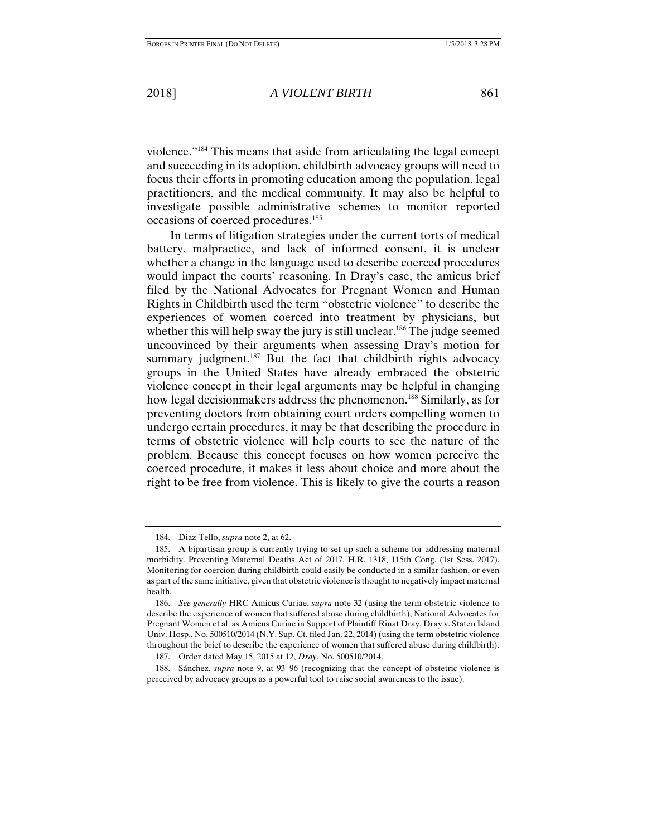violence."184 This means that aside from articulating the legal concept and succeeding in its adoption, childbirth advocacy groups will need to focus their efforts in promoting education among the population, legal practitioners, and the medical community. It may also be helpful to investigate possible administrative schemes to monitor reported occasions of coerced procedures.185

In terms of litigation strategies under the current torts of medical battery, malpractice, and lack of informed consent, it is unclear whether a change in the language used to describe coerced procedures would impact the courts' reasoning. In Dray's case, the amicus brief filed by the National Advocates for Pregnant Women and Human Rights in Childbirth used the term "obstetric violence" to describe the experiences of women coerced into treatment by physicians, but whether this will help sway the jury is still unclear.<sup>186</sup> The judge seemed unconvinced by their arguments when assessing Dray's motion for summary judgment.<sup>187</sup> But the fact that childbirth rights advocacy groups in the United States have already embraced the obstetric violence concept in their legal arguments may be helpful in changing how legal decisionmakers address the phenomenon.<sup>188</sup> Similarly, as for preventing doctors from obtaining court orders compelling women to undergo certain procedures, it may be that describing the procedure in terms of obstetric violence will help courts to see the nature of the problem. Because this concept focuses on how women perceive the coerced procedure, it makes it less about choice and more about the right to be free from violence. This is likely to give the courts a reason

 <sup>184.</sup> Diaz-Tello, *supra* note 2, at 62.

 <sup>185.</sup> A bipartisan group is currently trying to set up such a scheme for addressing maternal morbidity. Preventing Maternal Deaths Act of 2017, H.R. 1318, 115th Cong. (1st Sess. 2017). Monitoring for coercion during childbirth could easily be conducted in a similar fashion, or even as part of the same initiative, given that obstetric violence is thought to negatively impact maternal health.

 <sup>186.</sup> *See generally* HRC Amicus Curiae, *supra* note 32 (using the term obstetric violence to describe the experience of women that suffered abuse during childbirth); National Advocates for Pregnant Women et al. as Amicus Curiae in Support of Plaintiff Rinat Dray, Dray v. Staten Island Univ. Hosp., No. 500510/2014 (N.Y. Sup. Ct. filed Jan. 22, 2014) (using the term obstetric violence throughout the brief to describe the experience of women that suffered abuse during childbirth).

 <sup>187.</sup> Order dated May 15, 2015 at 12, *Dray*, No. 500510/2014.

 <sup>188.</sup> Sánchez, *supra* note 9, at 93–96 (recognizing that the concept of obstetric violence is perceived by advocacy groups as a powerful tool to raise social awareness to the issue).